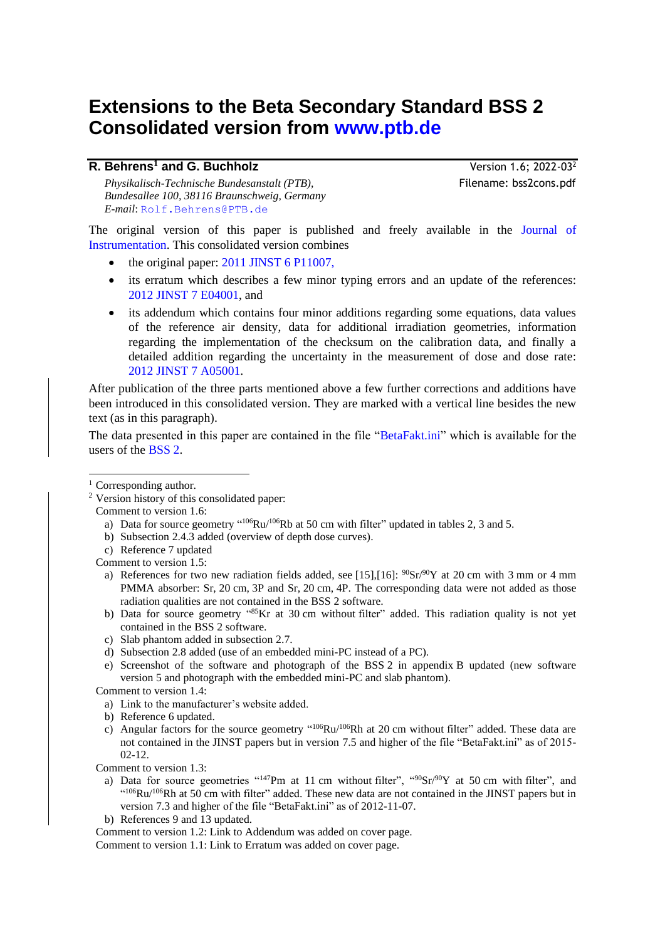# **Extensions to the Beta Secondary Standard BSS 2 Consolidated version from [www.ptb.de](http://www.ptb.de/cms/fileadmin/internet/fachabteilungen/abteilung_6/6.3/f_u_e/bss2cons.pdf)**

| R. Behrens <sup>1</sup> and G. Buchholz      |
|----------------------------------------------|
| Physikalisch-Technische Bundesanstalt (PTB), |
| Bundesallee 100, 38116 Braunschweig, Germany |
| E-mail: Rolf. Behrens@PTB.de                 |

Version 1.6: 2022-03<sup>2</sup> *Physikalisch-Technische Bundesanstalt (PTB),* Filename: bss2cons.pdf

The original version of this paper is published and freely available in the [Journal of](http://iopscience.iop.org/1748-0221/)  [Instrumentation.](http://iopscience.iop.org/1748-0221/) This consolidated version combines

- the original paper: [2011 JINST 6 P11007,](http://iopscience.iop.org/1748-0221/6/11/P11007/)
- its erratum which describes a few minor typing errors and an update of the references: [2012 JINST 7 E04001,](http://iopscience.iop.org/1748-0221/7/04/E04001/) and
- its addendum which contains four minor additions regarding some equations, data values of the reference air density, data for additional irradiation geometries, information regarding the implementation of the checksum on the calibration data, and finally a detailed addition regarding the uncertainty in the measurement of dose and dose rate: 2012 [JINST 7 A05001.](http://iopscience.iop.org/1748-0221/7/05/A05001)

After publication of the three parts mentioned above a few further corrections and additions have been introduced in this consolidated version. They are marked with a vertical line besides the new text (as in this paragraph).

The data presented in this paper are contained in the file ["BetaFakt.ini"](http://www.ptb.de/cms/fileadmin/internet/fachabteilungen/abteilung_6/6.3/f_u_e/BetaFakt.ini) which is available for the users of the [BSS](http://www.ptb.de/cms/en/fachabteilungen/abt6/fb-63/information/results-of-research.html#c38376) 2.

<sup>1</sup> Corresponding author.

Comment to version 1.5:

a) References for two new radiation fields added, see [\[15\]](#page-25-0)[,\[16\]:](#page-25-1)  $90\text{Sr}/90\text{Y}$  at 20 cm with 3 mm or 4 mm PMMA absorber: Sr, 20 cm, 3P and Sr, 20 cm, 4P. The corresponding data were not added as those radiation qualities are not contained in the BSS 2 software.

- b) Data for source geometry "<sup>85</sup>Kr at 30 cm without filter" added. This radiation quality is not yet contained in the BSS 2 software.
- c) Slab phantom added in subsection [2.7.](#page-12-0)
- d) Subsection [2.8](#page-13-0) added (use of an embedded mini-PC instead of a PC).
- e) Screenshot of the software and photograph of the BSS 2 in appendix [B](#page-16-0) updated (new software version 5 and photograph with the embedded mini-PC and slab phantom).

Comment to version 1.4:

- a) Link to the manufacturer's website added.
- b) Reference 6 updated.
- c) Angular factors for the source geometry  $^{4106}Ru^{106}Rh$  at 20 cm without filter" added. These data are not contained in the JINST papers but in version 7.5 and higher of the file "BetaFakt.ini" as of 2015- 02-12.

Comment to version 1.3:

- a) Data for source geometries  $^{(147)}$ Pm at 11 cm without filter",  $^{(90)}$ Sr/ $^{90}$ Y at 50 cm with filter", and  $^{(106}Ru/106Rh$  at 50 cm with filter" added. These new data are not contained in the JINST papers but in version 7.3 and higher of the file "BetaFakt.ini" as of 2012-11-07.
- b) References 9 and 13 updated.

Comment to version 1.2: Link to Addendum was added on cover page.

Comment to version 1.1: Link to Erratum was added on cover page.

<sup>2</sup> Version history of this consolidated paper:

Comment to version 1.6:

a) Data for source geometry " $^{106}Ru/^{106}Rb$  at 50 cm with filter" updated in tables 2, 3 and 5.

b) Subsection [2.4.3](#page-10-0) added (overview of depth dose curves).

c) Reference 7 updated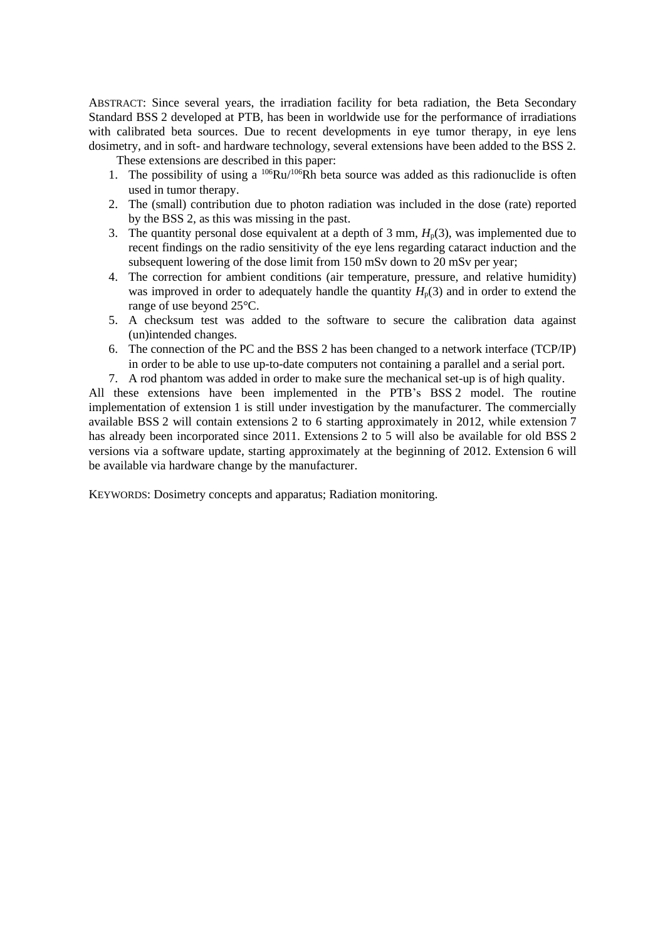ABSTRACT: Since several years, the irradiation facility for beta radiation, the Beta Secondary Standard BSS 2 developed at PTB, has been in worldwide use for the performance of irradiations with calibrated beta sources. Due to recent developments in eve tumor therapy, in eve lens dosimetry, and in soft- and hardware technology, several extensions have been added to the BSS 2.

These extensions are described in this paper:

- 1. The possibility of using a  $^{106}Ru/^{106}Rh$  beta source was added as this radionuclide is often used in tumor therapy.
- 2. The (small) contribution due to photon radiation was included in the dose (rate) reported by the BSS 2, as this was missing in the past.
- 3. The quantity personal dose equivalent at a depth of 3 mm,  $H_p(3)$ , was implemented due to recent findings on the radio sensitivity of the eye lens regarding cataract induction and the subsequent lowering of the dose limit from 150 mSv down to 20 mSv per year;
- 4. The correction for ambient conditions (air temperature, pressure, and relative humidity) was improved in order to adequately handle the quantity  $H_p(3)$  and in order to extend the range of use beyond 25°C.
- 5. A checksum test was added to the software to secure the calibration data against (un)intended changes.
- 6. The connection of the PC and the BSS 2 has been changed to a network interface (TCP/IP) in order to be able to use up-to-date computers not containing a parallel and a serial port.
- 7. A rod phantom was added in order to make sure the mechanical set-up is of high quality.

All these extensions have been implemented in the PTB's BSS 2 model. The routine implementation of extension 1 is still under investigation by the manufacturer. The commercially available BSS 2 will contain extensions 2 to 6 starting approximately in 2012, while extension 7 has already been incorporated since 2011. Extensions 2 to 5 will also be available for old BSS 2 versions via a software update, starting approximately at the beginning of 2012. Extension 6 will be available via hardware change by the manufacturer.

KEYWORDS: Dosimetry concepts and apparatus; Radiation monitoring.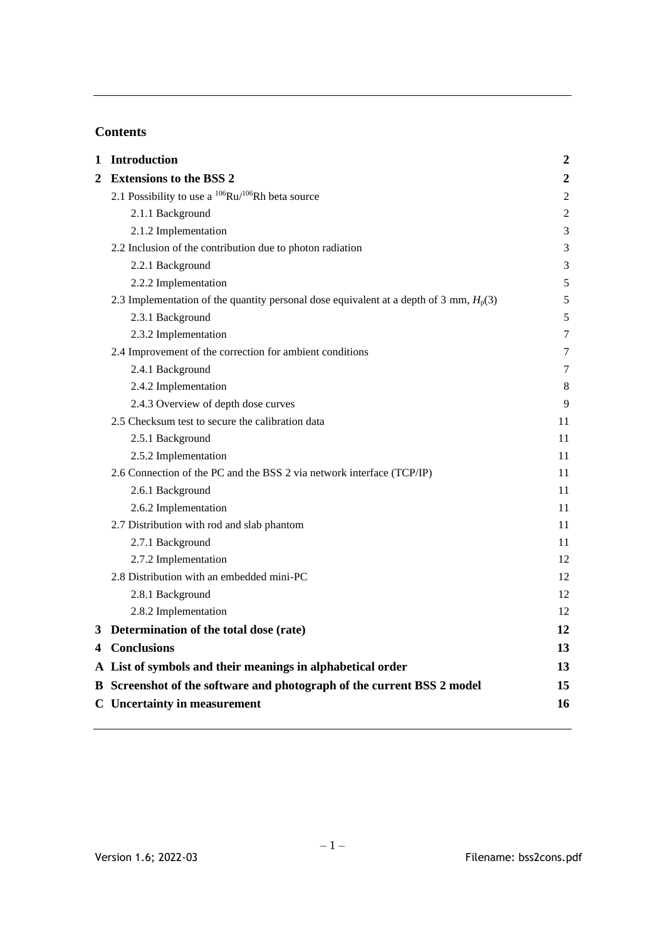# **Contents**

| 2 Extensions to the BSS 2<br>2.1 Possibility to use a $^{106}Ru/^{106}Rh$ beta source<br>2.1.1 Background<br>2.1.2 Implementation<br>2.2 Inclusion of the contribution due to photon radiation<br>2.2.1 Background<br>2.2.2 Implementation | $\boldsymbol{2}$<br>$\overline{2}$<br>$\mathfrak 2$<br>3<br>3<br>3 |
|--------------------------------------------------------------------------------------------------------------------------------------------------------------------------------------------------------------------------------------------|--------------------------------------------------------------------|
|                                                                                                                                                                                                                                            |                                                                    |
|                                                                                                                                                                                                                                            |                                                                    |
|                                                                                                                                                                                                                                            |                                                                    |
|                                                                                                                                                                                                                                            |                                                                    |
|                                                                                                                                                                                                                                            |                                                                    |
|                                                                                                                                                                                                                                            |                                                                    |
|                                                                                                                                                                                                                                            | 5                                                                  |
| 2.3 Implementation of the quantity personal dose equivalent at a depth of 3 mm, $H_p(3)$                                                                                                                                                   | 5                                                                  |
| 2.3.1 Background                                                                                                                                                                                                                           | 5                                                                  |
| 2.3.2 Implementation                                                                                                                                                                                                                       | 7                                                                  |
| 2.4 Improvement of the correction for ambient conditions                                                                                                                                                                                   | 7                                                                  |
| 2.4.1 Background                                                                                                                                                                                                                           | 7                                                                  |
| 2.4.2 Implementation                                                                                                                                                                                                                       | 8                                                                  |
| 2.4.3 Overview of depth dose curves                                                                                                                                                                                                        | 9                                                                  |
| 2.5 Checksum test to secure the calibration data                                                                                                                                                                                           | 11                                                                 |
| 2.5.1 Background                                                                                                                                                                                                                           | 11                                                                 |
| 2.5.2 Implementation                                                                                                                                                                                                                       | 11                                                                 |
| 2.6 Connection of the PC and the BSS 2 via network interface (TCP/IP)                                                                                                                                                                      | 11                                                                 |
| 2.6.1 Background                                                                                                                                                                                                                           | 11                                                                 |
| 2.6.2 Implementation                                                                                                                                                                                                                       | 11                                                                 |
| 2.7 Distribution with rod and slab phantom                                                                                                                                                                                                 | 11                                                                 |
| 2.7.1 Background                                                                                                                                                                                                                           | 11                                                                 |
| 2.7.2 Implementation                                                                                                                                                                                                                       | 12                                                                 |
| 2.8 Distribution with an embedded mini-PC                                                                                                                                                                                                  | 12                                                                 |
| 2.8.1 Background                                                                                                                                                                                                                           | 12                                                                 |
| 2.8.2 Implementation                                                                                                                                                                                                                       | 12                                                                 |
| 3 Determination of the total dose (rate)                                                                                                                                                                                                   | 12                                                                 |
| 4 Conclusions                                                                                                                                                                                                                              | 13                                                                 |
| A List of symbols and their meanings in alphabetical order                                                                                                                                                                                 | 13                                                                 |
| B Screenshot of the software and photograph of the current BSS 2 model                                                                                                                                                                     | 15                                                                 |
| <b>C</b> Uncertainty in measurement                                                                                                                                                                                                        | 16                                                                 |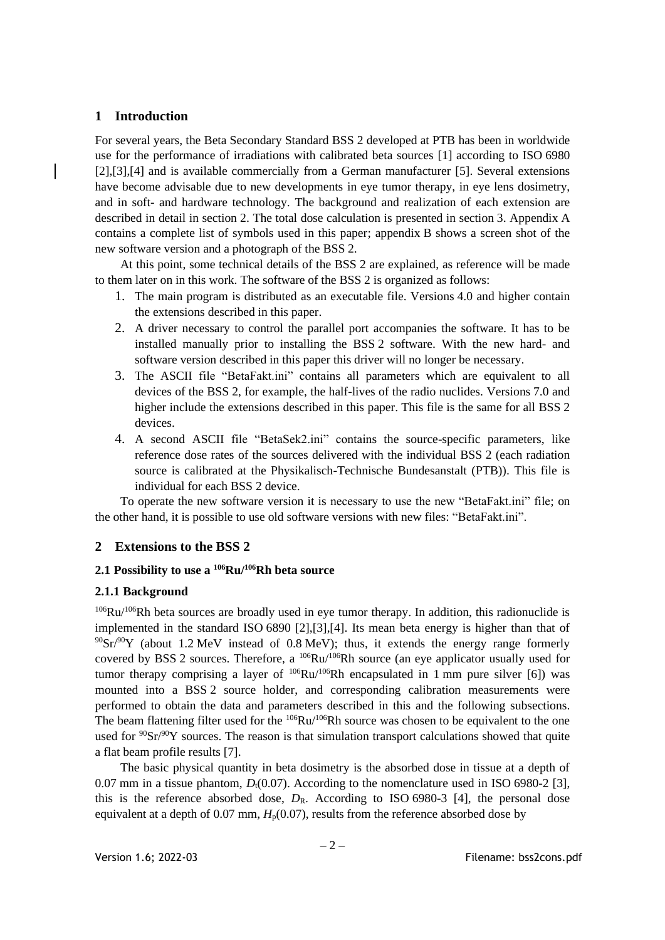# <span id="page-3-0"></span>**1 Introduction**

For several years, the Beta Secondary Standard BSS 2 developed at PTB has been in worldwide use for the performance of irradiations with calibrated beta sources [\[1\]](#page-24-0) according to ISO 6980 [\[2\]](#page-24-1)[,\[3\]](#page-24-2)[,\[4\]](#page-24-3) and is available commercially from a German manufacturer [\[5\].](#page-24-4) Several extensions have become advisable due to new developments in eye tumor therapy, in eye lens dosimetry, and in soft- and hardware technology. The background and realization of each extension are described in detail in section [2.](#page-3-1) The total dose calculation is presented in section [3.](#page-13-4) Appendix [A](#page-14-1) contains a complete list of symbols used in this paper; appendix [B](#page-16-0) shows a screen shot of the new software version and a photograph of the BSS 2.

At this point, some technical details of the BSS 2 are explained, as reference will be made to them later on in this work. The software of the BSS 2 is organized as follows:

- 1. The main program is distributed as an executable file. Versions 4.0 and higher contain the extensions described in this paper.
- 2. A driver necessary to control the parallel port accompanies the software. It has to be installed manually prior to installing the BSS 2 software. With the new hard- and software version described in this paper this driver will no longer be necessary.
- 3. The ASCII file "BetaFakt.ini" contains all parameters which are equivalent to all devices of the BSS 2, for example, the half-lives of the radio nuclides. Versions 7.0 and higher include the extensions described in this paper. This file is the same for all BSS 2 devices.
- 4. A second ASCII file "BetaSek2.ini" contains the source-specific parameters, like reference dose rates of the sources delivered with the individual BSS 2 (each radiation source is calibrated at the Physikalisch-Technische Bundesanstalt (PTB)). This file is individual for each BSS 2 device.

To operate the new software version it is necessary to use the new "BetaFakt.ini" file; on the other hand, it is possible to use old software versions with new files: "BetaFakt.ini".

## <span id="page-3-1"></span>**2 Extensions to the BSS 2**

## <span id="page-3-2"></span>**2.1 Possibility to use a <sup>106</sup>Ru/<sup>106</sup>Rh beta source**

## <span id="page-3-3"></span>**2.1.1 Background**

 $106$ Ru/ $106$ Rh beta sources are broadly used in eye tumor therapy. In addition, this radionuclide is implemented in the standard ISO 6890 [\[2\]](#page-24-1)[,\[3\]](#page-24-2)[,\[4\].](#page-24-3) Its mean beta energy is higher than that of  $90\text{Sr}/90\text{Y}$  (about 1.2 MeV instead of 0.8 MeV); thus, it extends the energy range formerly covered by BSS 2 sources. Therefore, a  $^{106}Ru/^{106}Rh$  source (an eye applicator usually used for tumor therapy comprising a layer of  $106Ru/106Rh$  encapsulated in 1 mm pure silver [\[6\]\)](#page-24-5) was mounted into a BSS 2 source holder, and corresponding calibration measurements were performed to obtain the data and parameters described in this and the following subsections. The beam flattening filter used for the <sup>106</sup>Ru/<sup>106</sup>Rh source was chosen to be equivalent to the one used for <sup>90</sup>Sr/<sup>90</sup>Y sources. The reason is that simulation transport calculations showed that quite a flat beam profile results [\[7\].](#page-25-2)

The basic physical quantity in beta dosimetry is the absorbed dose in tissue at a depth of 0.07 mm in a tissue phantom,  $D_1(0.07)$ . According to the nomenclature used in ISO 6980-2 [\[3\],](#page-24-2) this is the reference absorbed dose,  $D_R$ . According to ISO 6980-3 [\[4\],](#page-24-3) the personal dose equivalent at a depth of  $0.07$  mm,  $H<sub>p</sub>(0.07)$ , results from the reference absorbed dose by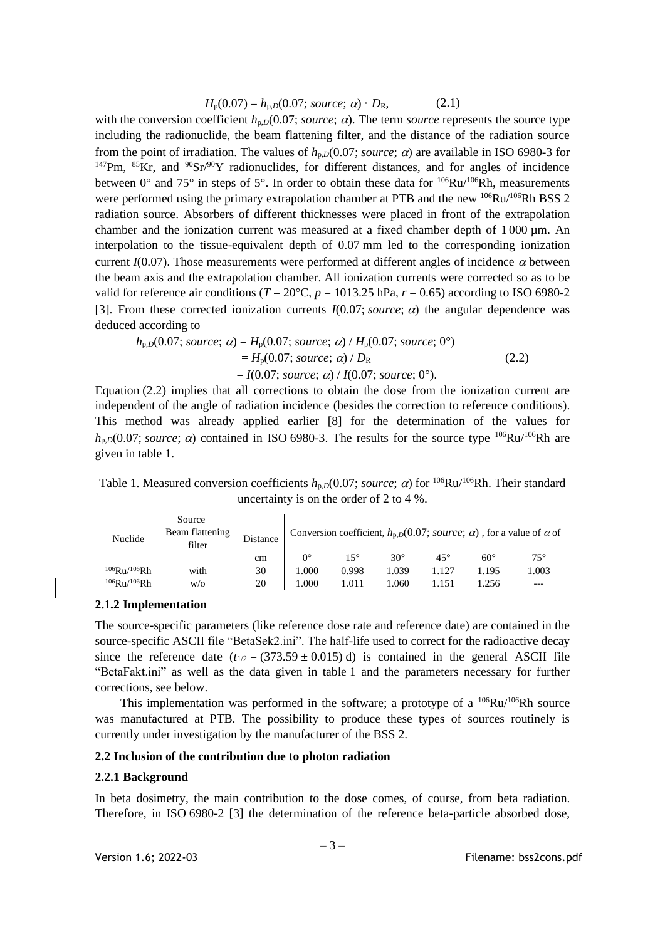$$
H_p(0.07) = h_{p,D}(0.07; source; \alpha) \cdot D_R,
$$
 (2.1)

with the conversion coefficient  $h_{p,D}(0.07; source; \alpha)$ . The term *source* represents the source type including the radionuclide, the beam flattening filter, and the distance of the radiation source from the point of irradiation. The values of  $h_{p,D}(0.07; source; \alpha)$  are available in ISO 6980-3 for  $147$ Pm,  $85$ Kr, and  $90$ Sr/ $90$ Y radionuclides, for different distances, and for angles of incidence between  $0^{\circ}$  and  $75^{\circ}$  in steps of  $5^{\circ}$ . In order to obtain these data for  $106Ru/106Rh$ , measurements were performed using the primary extrapolation chamber at PTB and the new <sup>106</sup>Ru/<sup>106</sup>Rh BSS 2 radiation source. Absorbers of different thicknesses were placed in front of the extrapolation chamber and the ionization current was measured at a fixed chamber depth of  $1000 \mu m$ . An interpolation to the tissue-equivalent depth of 0.07 mm led to the corresponding ionization current  $I(0.07)$ . Those measurements were performed at different angles of incidence  $\alpha$  between the beam axis and the extrapolation chamber. All ionization currents were corrected so as to be valid for reference air conditions ( $T = 20^{\circ}\text{C}$ ,  $p = 1013.25 \text{ hPa}$ ,  $r = 0.65$ ) according to ISO 6980-2 [\[3\].](#page-24-2) From these corrected ionization currents  $I(0.07; source; \alpha)$  the angular dependence was deduced according to

$$
h_{p,D}(0.07; source; \alpha) = H_p(0.07; source; \alpha) / H_p(0.07; source; 0^{\circ})
$$
  
=  $H_p(0.07; source; \alpha) / D_R$  (2.2)  
=  $I(0.07; source; \alpha) / I(0.07; source; 0^{\circ}).$ 

Equation (2.2) implies that all corrections to obtain the dose from the ionization current are independent of the angle of radiation incidence (besides the correction to reference conditions). This method was already applied earlier [\[8\]](#page-25-3) for the determination of the values for  $h_{p,D}(0.07; source; \alpha)$  contained in ISO 6980-3. The results for the source type <sup>106</sup>Ru/<sup>106</sup>Rh are given in table 1.

Table 1. Measured conversion coefficients  $h_{p,D}(0.07; source; \alpha)$  for <sup>106</sup>Ru/<sup>106</sup>Rh. Their standard uncertainty is on the order of 2 to 4 %.

| Nuclide            | Source<br>Beam flattening<br>filter | Distance | Conversion coefficient, $h_{p,D}(0.07; source; \alpha)$ , for a value of $\alpha$ of |       |            |              |       |       |  |
|--------------------|-------------------------------------|----------|--------------------------------------------------------------------------------------|-------|------------|--------------|-------|-------|--|
|                    |                                     | cm       | $\Omega^{\circ}$                                                                     | 15°   | $30^\circ$ | $45^{\circ}$ | 60°   | 75°   |  |
| $106$ Ru/ $106$ Rh | with                                | 30       | 1.000                                                                                | 0.998 | 1.039      | 1.127        | 1.195 | 1.003 |  |
| $106$ Ru/ $106$ Rh | W/O                                 | 20       | 1.000                                                                                | 1.011 | 1.060      | l.151        | 1.256 | ---   |  |

#### <span id="page-4-0"></span>**2.1.2 Implementation**

The source-specific parameters (like reference dose rate and reference date) are contained in the source-specific ASCII file "BetaSek2.ini". The half-life used to correct for the radioactive decay since the reference date  $(t_{1/2} = (373.59 \pm 0.015) d)$  is contained in the general ASCII file "BetaFakt.ini" as well as the data given in table 1 and the parameters necessary for further corrections, see below.

This implementation was performed in the software; a prototype of a  $^{106}Ru/^{106}Rh$  source was manufactured at PTB. The possibility to produce these types of sources routinely is currently under investigation by the manufacturer of the BSS 2.

#### <span id="page-4-1"></span>**2.2 Inclusion of the contribution due to photon radiation**

#### <span id="page-4-2"></span>**2.2.1 Background**

In beta dosimetry, the main contribution to the dose comes, of course, from beta radiation. Therefore, in ISO 6980-2 [\[3\]](#page-24-2) the determination of the reference beta-particle absorbed dose,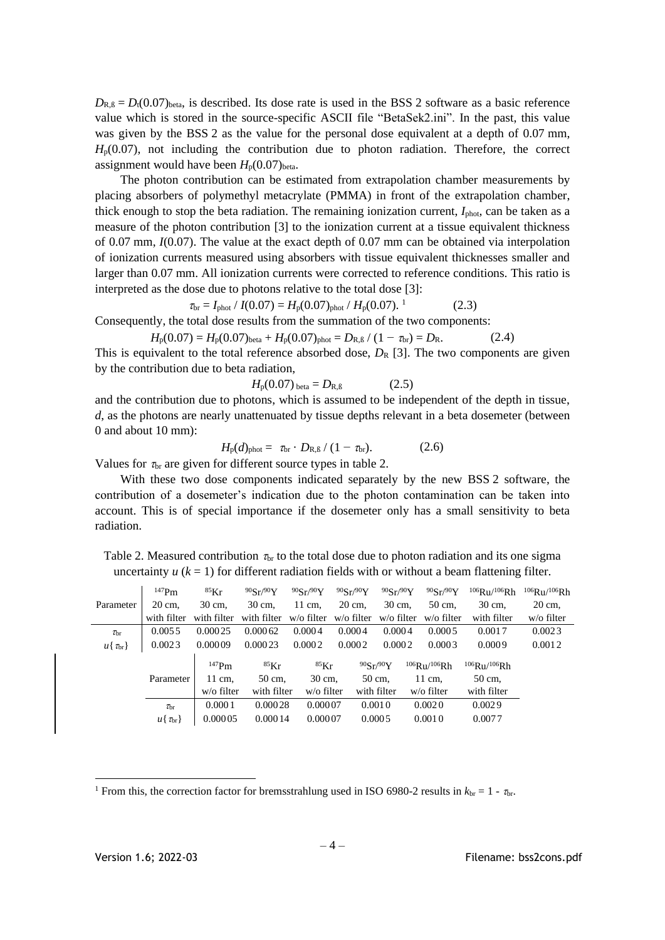$D_{R,\beta} = D_1(0.07)_{\text{beta}}$ , is described. Its dose rate is used in the BSS 2 software as a basic reference value which is stored in the source-specific ASCII file "BetaSek2.ini". In the past, this value was given by the BSS 2 as the value for the personal dose equivalent at a depth of 0.07 mm,  $H<sub>p</sub>(0.07)$ , not including the contribution due to photon radiation. Therefore, the correct assignment would have been  $H_p(0.07)_{beta}$ .

The photon contribution can be estimated from extrapolation chamber measurements by placing absorbers of polymethyl metacrylate (PMMA) in front of the extrapolation chamber, thick enough to stop the beta radiation. The remaining ionization current, *I*<sub>phot</sub>, can be taken as a measure of the photon contribution [\[3\]](#page-24-2) to the ionization current at a tissue equivalent thickness of 0.07 mm, *I*(0.07). The value at the exact depth of 0.07 mm can be obtained via interpolation of ionization currents measured using absorbers with tissue equivalent thicknesses smaller and larger than 0.07 mm. All ionization currents were corrected to reference conditions. This ratio is interpreted as the dose due to photons relative to the total dose [\[3\]:](#page-24-2)

$$
\tau_{\text{br}} = I_{\text{phot}} / I(0.07) = H_{\text{p}}(0.07)_{\text{phot}} / H_{\text{p}}(0.07). \tag{2.3}
$$

Consequently, the total dose results from the summation of the two components:

$$
H_p(0.07) = H_p(0.07)_{\text{beta}} + H_p(0.07)_{\text{phot}} = D_{R,\beta} / (1 - \tau_{\text{br}}) = D_R.
$$
 (2.4)

This is equivalent to the total reference absorbed dose,  $D_R$  [\[3\].](#page-24-2) The two components are given by the contribution due to beta radiation,

$$
H_{\rm p}(0.07)_{\rm beta} = D_{\rm R,B} \tag{2.5}
$$

and the contribution due to photons, which is assumed to be independent of the depth in tissue, *d*, as the photons are nearly unattenuated by tissue depths relevant in a beta dosemeter (between 0 and about 10 mm):

$$
H_{\rm p}(d)_{\rm phot} = \tau_{\rm br} \cdot D_{\rm R,B} / (1 - \tau_{\rm br}). \tag{2.6}
$$

Values for  $\tau_{\text{br}}$  are given for different source types in table 2.

With these two dose components indicated separately by the new BSS 2 software, the contribution of a dosemeter's indication due to the photon contamination can be taken into account. This is of special importance if the dosemeter only has a small sensitivity to beta radiation.

Table 2. Measured contribution  $\tau_{\rm br}$  to the total dose due to photon radiation and its one sigma uncertainty  $u$  ( $k = 1$ ) for different radiation fields with or without a beam flattening filter.

|                       | $147$ Pm              | ${}^{85}$ Kr | 90Sr/90Y    | 90Sr/90Y      | 90Sr/90Y   | 90Sr/90Y    | 90Sr/90Y           | $106$ Ru/ $106$ Rh | $106$ R <sub>11</sub> /106 <sub>Rh</sub> |
|-----------------------|-----------------------|--------------|-------------|---------------|------------|-------------|--------------------|--------------------|------------------------------------------|
| Parameter             | 20 cm.                | 30 cm.       | 30 cm,      | 11 cm.        | 20 cm.     | 30 cm.      | 50 cm.             | 30 cm,             | 20 cm,                                   |
|                       | with filter           | with filter  | with filter | w/o filter    | w/o filter | w/o filter  | w/o filter         | with filter        | w/o filter                               |
| $\tau_{\rm br}$       | 0.0055                | 0.00025      | 0.00062     | 0.0004        | 0.0004     | 0.0004      | 0.0005             | 0.0017             | 0.0023                                   |
| $u\{\tau_{\rm br}\}\$ | 0.0023                | 0.00009      | 0.00023     | 0.0002        | 0.0002     | 0.0002      | 0.0003             | 0.0009             | 0.0012                                   |
|                       |                       | $147$ Pm     | $85$ Kr     | ${}^{85}$ Kr  |            | 90Sr/90Y    | $106$ Ru/ $106$ Rh | $106$ Ru/ $106$ Rh |                                          |
|                       | Parameter             | 11 cm,       | 50 cm,      | 30 cm,        |            | 50 cm,      | 11 cm,             | 50 cm,             |                                          |
|                       |                       | w/o filter   | with filter | $w$ /o filter |            | with filter | $w$ /o filter      | with filter        |                                          |
|                       | $\tau_{\rm br}$       | 0.0001       | 0.00028     | 0.00007       |            | 0.0010      | 0.0020             | 0.0029             |                                          |
|                       | $u\{\tau_{\rm br}\}\$ | 0.00005      | 0.00014     | 0.00007       |            | 0.0005      | 0.0010             | 0.0077             |                                          |

<sup>&</sup>lt;sup>1</sup> From this, the correction factor for bremsstrahlung used in ISO 6980-2 results in  $k_{\text{br}} = 1$  -  $\tau_{\text{br}}$ .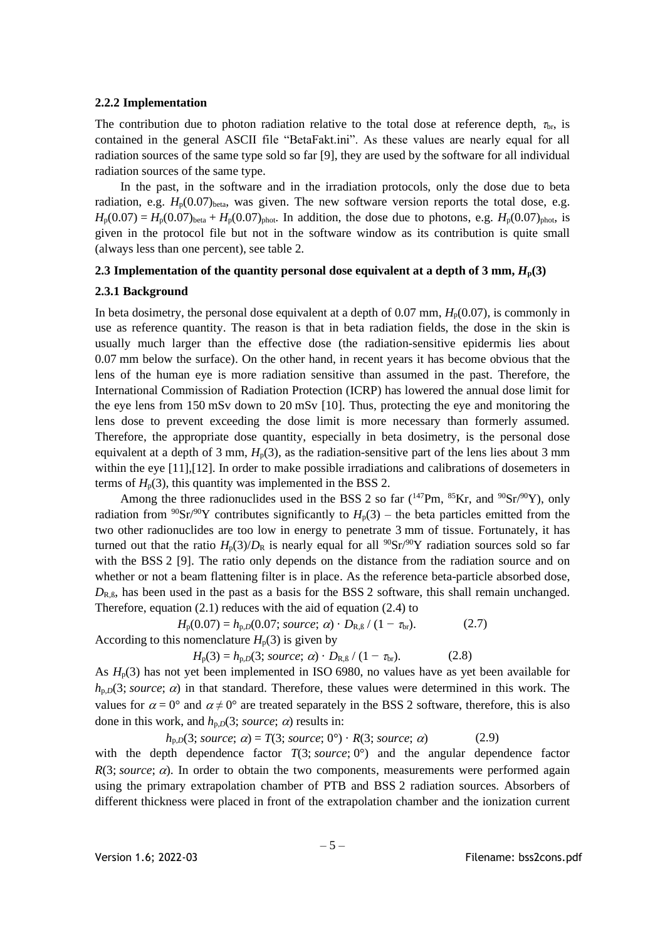#### <span id="page-6-0"></span>**2.2.2 Implementation**

The contribution due to photon radiation relative to the total dose at reference depth,  $\tau_{\rm br}$ , is contained in the general ASCII file "BetaFakt.ini". As these values are nearly equal for all radiation sources of the same type sold so far [\[9\],](#page-25-4) they are used by the software for all individual radiation sources of the same type.

In the past, in the software and in the irradiation protocols, only the dose due to beta radiation, e.g.  $H_p(0.07)_{beta}$ , was given. The new software version reports the total dose, e.g.  $H_p(0.07) = H_p(0.07)_{\text{beta}} + H_p(0.07)_{\text{phot}}$ . In addition, the dose due to photons, e.g.  $H_p(0.07)_{\text{phot}}$ , is given in the protocol file but not in the software window as its contribution is quite small (always less than one percent), see table 2.

#### <span id="page-6-1"></span>**2.3** Implementation of the quantity personal dose equivalent at a depth of 3 mm,  $H_p(3)$

#### <span id="page-6-2"></span>**2.3.1 Background**

In beta dosimetry, the personal dose equivalent at a depth of 0.07 mm,  $H_p(0.07)$ , is commonly in use as reference quantity. The reason is that in beta radiation fields, the dose in the skin is usually much larger than the effective dose (the radiation-sensitive epidermis lies about 0.07 mm below the surface). On the other hand, in recent years it has become obvious that the lens of the human eye is more radiation sensitive than assumed in the past. Therefore, the International Commission of Radiation Protection (ICRP) has lowered the annual dose limit for the eye lens from 150 mSv down to 20 mSv [\[10\].](#page-25-5) Thus, protecting the eye and monitoring the lens dose to prevent exceeding the dose limit is more necessary than formerly assumed. Therefore, the appropriate dose quantity, especially in beta dosimetry, is the personal dose equivalent at a depth of  $3 \text{ mm}$ ,  $H_p(3)$ , as the radiation-sensitive part of the lens lies about  $3 \text{ mm}$ within the eye [\[11\]](#page-25-6)[,\[12\].](#page-25-7) In order to make possible irradiations and calibrations of dosemeters in terms of  $H_p(3)$ , this quantity was implemented in the BSS 2.

Among the three radionuclides used in the BSS 2 so far  $(^{147}Pm, ^{85}Kr,$  and  $^{90}Sr^{90}Y)$ , only radiation from <sup>90</sup>Sr<sup>/90</sup>Y contributes significantly to  $H_p(3)$  – the beta particles emitted from the two other radionuclides are too low in energy to penetrate 3 mm of tissue. Fortunately, it has turned out that the ratio  $H_p(3)/D_R$  is nearly equal for all <sup>90</sup>Sr/<sup>90</sup>Y radiation sources sold so far with the BSS 2 [\[9\].](#page-25-4) The ratio only depends on the distance from the radiation source and on whether or not a beam flattening filter is in place. As the reference beta-particle absorbed dose,  $D_{R,\beta}$ , has been used in the past as a basis for the BSS 2 software, this shall remain unchanged. Therefore, equation (2.1) reduces with the aid of equation (2.4) to

 $H_p(0.07) = h_{p,D}(0.07; source; \alpha) \cdot D_{R,B} / (1 - \tau_{br}).$  (2.7) According to this nomenclature  $H_p(3)$  is given by

$$
H_{p}(3) = h_{p,D}(3; source; \alpha) \cdot D_{R,B} / (1 - \tau_{br}).
$$
 (2.8)

As  $H_p(3)$  has not yet been implemented in ISO 6980, no values have as yet been available for  $h_{p,D}(3; source; \alpha)$  in that standard. Therefore, these values were determined in this work. The values for  $\alpha = 0^{\circ}$  and  $\alpha \neq 0^{\circ}$  are treated separately in the BSS 2 software, therefore, this is also done in this work, and  $h_{p,D}(3; source; \alpha)$  results in:

 $h_{p,D}(3; source; \alpha) = T(3; source; 0^{\circ}) \cdot R(3; source; \alpha)$  (2.9) with the depth dependence factor  $T(3; source; 0^{\circ})$  and the angular dependence factor  $R(3; source; \alpha)$ . In order to obtain the two components, measurements were performed again using the primary extrapolation chamber of PTB and BSS 2 radiation sources. Absorbers of different thickness were placed in front of the extrapolation chamber and the ionization current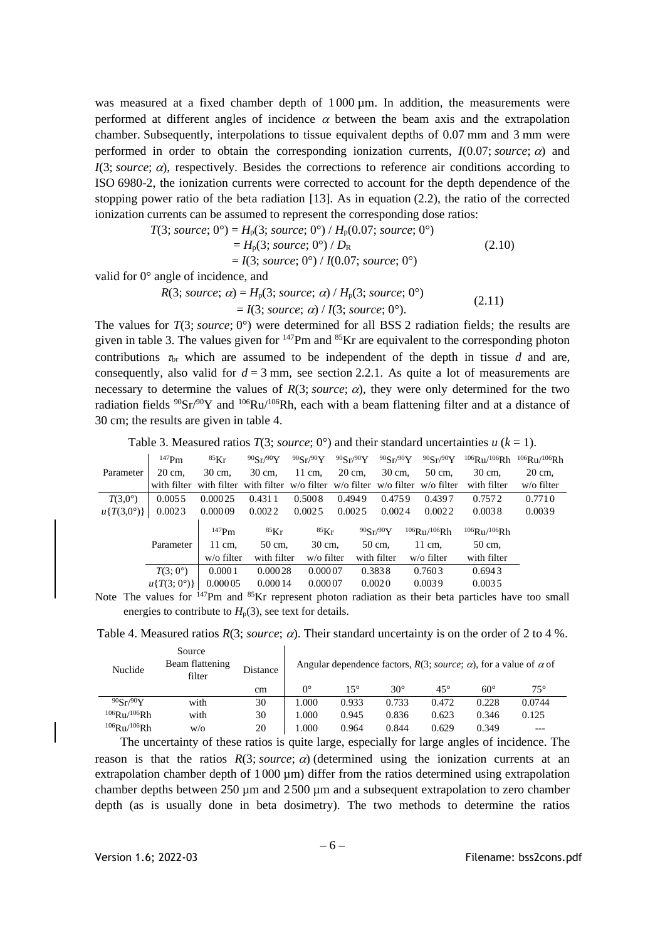was measured at a fixed chamber depth of  $1000 \mu m$ . In addition, the measurements were performed at different angles of incidence  $\alpha$  between the beam axis and the extrapolation chamber. Subsequently, interpolations to tissue equivalent depths of 0.07 mm and 3 mm were performed in order to obtain the corresponding ionization currents,  $I(0.07; source; \alpha)$  and  $I(3; source; \alpha)$ , respectively. Besides the corrections to reference air conditions according to ISO 6980-2, the ionization currents were corrected to account for the depth dependence of the stopping power ratio of the beta radiation [\[13\].](#page-25-8) As in equation (2.2), the ratio of the corrected ionization currents can be assumed to represent the corresponding dose ratios:

$$
T(3; source; 0^{\circ}) = H_p(3; source; 0^{\circ}) / H_p(0.07; source; 0^{\circ})
$$
  
=  $H_p(3; source; 0^{\circ}) / D_R$   
=  $I(3; source; 0^{\circ}) / I(0.07; source; 0^{\circ})$  (2.10)  
angle of incidence and

valid for 0° angle of incidence, and

 $R(3; source; \alpha) = H_p(3; source; \alpha) / H_p(3; source; 0^{\circ})$  $= I(3; source; \alpha) / I(3; source; 0^{\circ}).$ (2.11)

The values for *T*(3; *source*; 0°) were determined for all BSS 2 radiation fields; the results are given in table 3. The values given for  $147$ Pm and  $85$ Kr are equivalent to the corresponding photon contributions  $\tau_{\text{br}}$  which are assumed to be independent of the depth in tissue *d* and are, consequently, also valid for  $d = 3$  mm, see section [2.2.1.](#page-4-2) As quite a lot of measurements are necessary to determine the values of  $R(3; source; \alpha)$ , they were only determined for the two radiation fields  ${}^{90}Sr/{}^{90}Y$  and  ${}^{106}Ru/{}^{106}Rh$ , each with a beam flattening filter and at a distance of 30 cm; the results are given in table 4.

Table 3. Measured ratios  $T(3; source; 0^{\circ})$  and their standard uncertainties  $u (k = 1)$ .

|                         | $147$ Pm                         | ${}^{85}\mathrm{Kr}$                                                                  | 90Sr/90Y    | 90Sr/90Y    | 90Sr/90Y | $90$ Sr $/90$ Y | $90$ Sr $/90$ Y    | $106$ Ru/ $106$ Rh $106$ Ru/ $106$ Rh |            |
|-------------------------|----------------------------------|---------------------------------------------------------------------------------------|-------------|-------------|----------|-----------------|--------------------|---------------------------------------|------------|
| Parameter               | 20 cm.                           | 30 cm,                                                                                | 30 cm.      | 11 cm,      | 20 cm,   | 30 cm.          | 50 cm.             | 30 cm.                                | 20 cm.     |
|                         |                                  | with filter with filter with filter $w/o$ filter $w/o$ filter $w/o$ filter w/o filter |             |             |          |                 |                    | with filter                           | w/o filter |
| $T(3,0^{\circ})$        | 0.0055                           | 0.00025                                                                               | 0.4311      | 0.5008      | 0.4949   | 0.4759          | 0.4397             | 0.7572                                | 0.7710     |
| $u\{T(3,0^{\circ})\}\,$ | 0.0023                           | 0.00009                                                                               | 0.0022      | 0.0025      | 0.0025   | 0.0024          | 0.0022             | 0.0038                                | 0.0039     |
|                         |                                  | $147$ Pm                                                                              | $85\rm{Kr}$ | ${}^{85}Kr$ |          | 90Sr/90Y        | $106$ Ru/ $106$ Rh | $106$ Ru/ $106$ Rh                    |            |
|                         | Parameter                        | 11 cm.                                                                                | 50 cm,      | 30 cm.      |          | 50 cm.          | 11 cm.             | 50 cm,                                |            |
|                         |                                  | $w$ /o filter                                                                         | with filter | w/o filter  |          | with filter     | w/o filter         | with filter                           |            |
|                         | $T(3;0^{\circ})$                 | 0.0001                                                                                | 0.00028     | 0.00007     |          | 0.3838          | 0.7603             | 0.6943                                |            |
|                         | $u\{T(3;0^{\circ})\}\,$ 0.000 05 |                                                                                       | 0.00014     | 0.00007     |          | 0.0020          | 0.0039             | 0.0035                                |            |
|                         |                                  |                                                                                       |             |             |          |                 |                    |                                       |            |

Note The values for  $147$ Pm and  $85$ Kr represent photon radiation as their beta particles have too small energies to contribute to  $H_p(3)$ , see text for details.

Table 4. Measured ratios  $R(3; source; \alpha)$ . Their standard uncertainty is on the order of 2 to 4 %.

| Nuclide            | Source<br>Beam flattening<br>filter | Distance |             |              | Angular dependence factors, $R(3; source; \alpha)$ , for a value of $\alpha$ of |              |              |              |
|--------------------|-------------------------------------|----------|-------------|--------------|---------------------------------------------------------------------------------|--------------|--------------|--------------|
|                    |                                     | cm       | $0^{\circ}$ | $15^{\circ}$ | $30^{\circ}$                                                                    | $45^{\circ}$ | $60^{\circ}$ | $75^{\circ}$ |
| 90Sr/90Y           | with                                | 30       | 1.000       | 0.933        | 0.733                                                                           | 0.472        | 0.228        | 0.0744       |
| $106$ Ru/ $106$ Rh | with                                | 30       | 1.000       | 0.945        | 0.836                                                                           | 0.623        | 0.346        | 0.125        |
| $106$ Ru/ $106$ Rh | W/O                                 | 20       | .000        | 0.964        | 0.844                                                                           | 0.629        | 0.349        | ---          |

The uncertainty of these ratios is quite large, especially for large angles of incidence. The reason is that the ratios  $R(3; source; \alpha)$  (determined using the ionization currents at an extrapolation chamber depth of 1000 µm) differ from the ratios determined using extrapolation chamber depths between 250 µm and 2500 µm and a subsequent extrapolation to zero chamber depth (as is usually done in beta dosimetry). The two methods to determine the ratios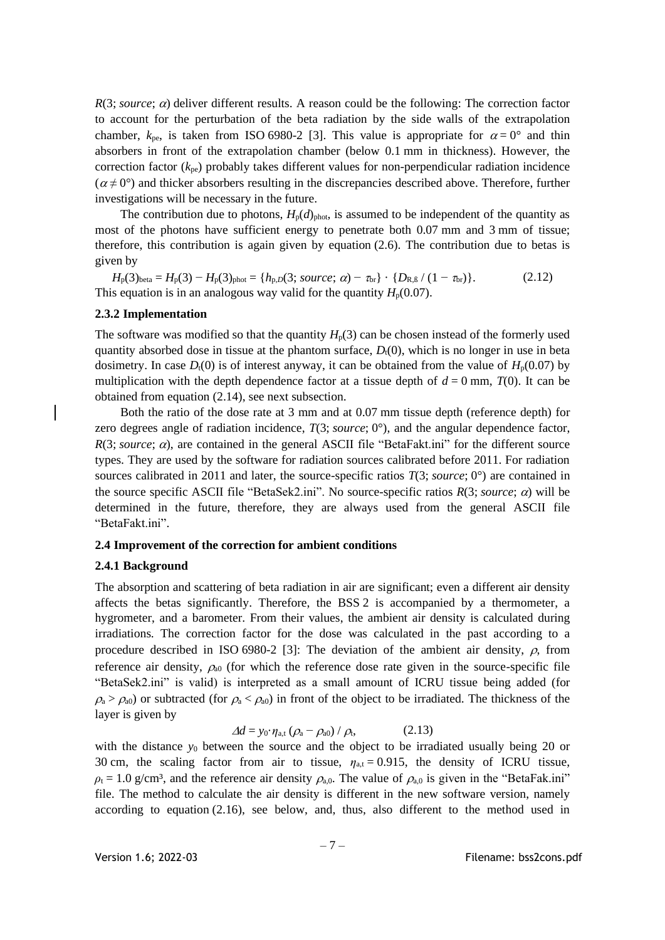$R(3; source; \alpha)$  deliver different results. A reason could be the following: The correction factor to account for the perturbation of the beta radiation by the side walls of the extrapolation chamber,  $k_{\text{pe}}$ , is taken from ISO 6980-2 [\[3\].](#page-24-2) This value is appropriate for  $\alpha = 0^{\circ}$  and thin absorbers in front of the extrapolation chamber (below 0.1 mm in thickness). However, the correction factor (*k*pe) probably takes different values for non-perpendicular radiation incidence  $(\alpha \neq 0^{\degree})$  and thicker absorbers resulting in the discrepancies described above. Therefore, further investigations will be necessary in the future.

The contribution due to photons,  $H_p(d)_{\text{phot}}$ , is assumed to be independent of the quantity as most of the photons have sufficient energy to penetrate both 0.07 mm and 3 mm of tissue; therefore, this contribution is again given by equation (2.6). The contribution due to betas is given by

 $H_{p}(3)_{\text{beta}} = H_{p}(3) - H_{p}(3)_{\text{phot}} = \{h_{p,D}(3; \text{source}; \alpha) - \tau_{\text{br}}\} \cdot \{D_{R,B}/(1 - \tau_{\text{br}})\}.$  (2.12) This equation is in an analogous way valid for the quantity  $H_p(0.07)$ .

## <span id="page-8-0"></span>**2.3.2 Implementation**

The software was modified so that the quantity  $H_p(3)$  can be chosen instead of the formerly used quantity absorbed dose in tissue at the phantom surface,  $D<sub>t</sub>(0)$ , which is no longer in use in beta dosimetry. In case  $D_1(0)$  is of interest anyway, it can be obtained from the value of  $H_p(0.07)$  by multiplication with the depth dependence factor at a tissue depth of  $d = 0$  mm,  $T(0)$ . It can be obtained from equation (2.14), see next subsection.

Both the ratio of the dose rate at 3 mm and at 0.07 mm tissue depth (reference depth) for zero degrees angle of radiation incidence, *T*(3; *source*; 0°), and the angular dependence factor,  $R(3; source; \alpha)$ , are contained in the general ASCII file "BetaFakt.ini" for the different source types. They are used by the software for radiation sources calibrated before 2011. For radiation sources calibrated in 2011 and later, the source-specific ratios  $T(3; source; 0^{\circ})$  are contained in the source specific ASCII file "BetaSek2.ini". No source-specific ratios  $R(3; source; \alpha)$  will be determined in the future, therefore, they are always used from the general ASCII file "BetaFakt.ini".

#### <span id="page-8-1"></span>**2.4 Improvement of the correction for ambient conditions**

#### <span id="page-8-2"></span>**2.4.1 Background**

The absorption and scattering of beta radiation in air are significant; even a different air density affects the betas significantly. Therefore, the BSS 2 is accompanied by a thermometer, a hygrometer, and a barometer. From their values, the ambient air density is calculated during irradiations. The correction factor for the dose was calculated in the past according to a procedure described in ISO 6980-2 [\[3\]:](#page-24-2) The deviation of the ambient air density,  $\rho$ , from reference air density,  $\rho_{00}$  (for which the reference dose rate given in the source-specific file "BetaSek2.ini" is valid) is interpreted as a small amount of ICRU tissue being added (for  $\rho_a > \rho_{a0}$  or subtracted (for  $\rho_a < \rho_{a0}$ ) in front of the object to be irradiated. The thickness of the layer is given by

$$
\Delta d = y_0 \cdot \eta_{a,t} \left( \rho_a - \rho_{a0} \right) / \rho_t, \qquad (2.13)
$$

with the distance  $y_0$  between the source and the object to be irradiated usually being 20 or 30 cm, the scaling factor from air to tissue,  $\eta_{a,t} = 0.915$ , the density of ICRU tissue,  $\rho_t = 1.0$  g/cm<sup>3</sup>, and the reference air density  $\rho_{a,0}$ . The value of  $\rho_{a,0}$  is given in the "BetaFak.ini" file. The method to calculate the air density is different in the new software version, namely according to equation (2.16), see below, and, thus, also different to the method used in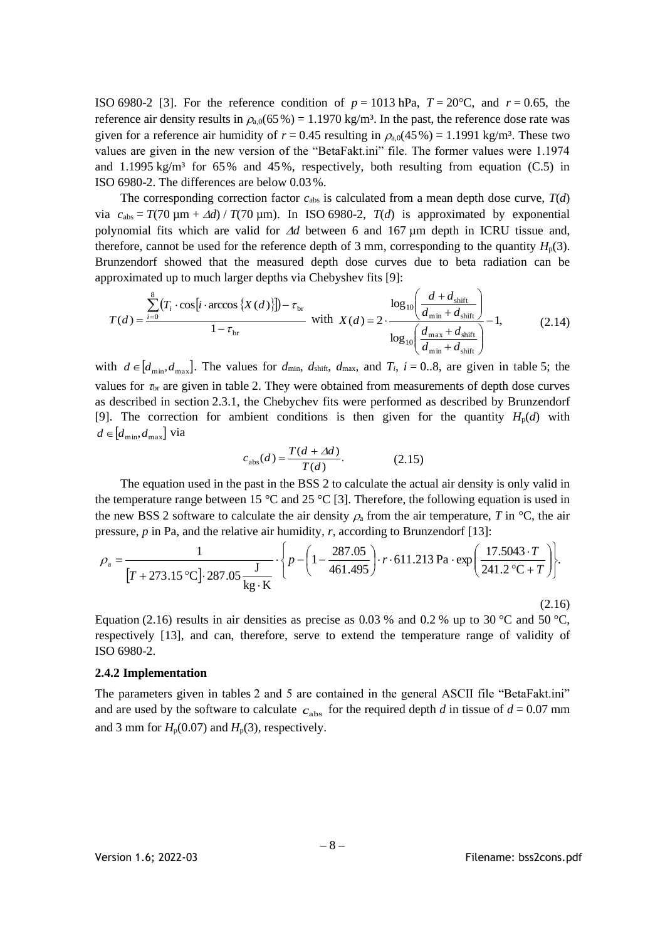ISO 6980-2 [3]. For the reference condition of  $p = 1013$  hPa,  $T = 20^{\circ}$ C, and  $r = 0.65$ , the reference air density results in  $\rho_{0.0}(65\%) = 1.1970 \text{ kg/m}^3$ . In the past, the reference dose rate was given for a reference air humidity of  $r = 0.45$  resulting in  $\rho_{a,0}(45\%) = 1.1991$  kg/m<sup>3</sup>. These two values are given in the new version of the "BetaFakt.ini" file. The former values were 1.1974 and 1.1995 kg/m<sup>3</sup> for 65% and 45%, respectively, both resulting from equation (C.5) in ISO 6980-2. The differences are below 0.03%.

The corresponding correction factor  $c_{\text{abs}}$  is calculated from a mean depth dose curve,  $T(d)$ via  $c_{\text{abs}} = T(70 \text{ µm} + \Delta d) / T(70 \text{ µm})$ . In ISO 6980-2,  $T(d)$  is approximated by exponential polynomial fits which are valid for  $\Delta d$  between 6 and 167  $\mu$ m depth in ICRU tissue and, therefore, cannot be used for the reference depth of 3 mm, corresponding to the quantity  $H_p(3)$ . Brunzendorf showed that the measured depth dose curves due to beta radiation can be approximated up to much larger depths via Chebyshev fits [\[9\]:](#page-25-4)

$$
T(d) = \frac{\sum_{i=0}^{8} (T_i \cdot \cos[i \cdot \arccos\{X(d)\}]) - \tau_{\text{br}}}{1 - \tau_{\text{br}}} \quad \text{with} \quad X(d) = 2 \cdot \frac{\log_{10}\left(\frac{d + d_{\text{shift}}}{d_{\text{min}} + d_{\text{shift}}}\right)}{\log_{10}\left(\frac{d_{\text{max}} + d_{\text{shift}}}{d_{\text{min}} + d_{\text{shift}}}\right)} - 1,\tag{2.14}
$$

with  $d \in [d_{\min}, d_{\max}]$ . The values for  $d_{\min}$ ,  $d_{\text{shift}}$ ,  $d_{\max}$ , and  $T_i$ ,  $i = 0..8$ , are given in table 5; the values for  $\tau_{\rm br}$  are given in table 2. They were obtained from measurements of depth dose curves as described in section [2.3.1,](#page-6-2) the Chebychev fits were performed as described by Brunzendorf [\[9\].](#page-25-4) The correction for ambient conditions is then given for the quantity  $H_p(d)$  with  $d \in [d_{\min}, d_{\max}]$  via

$$
c_{\text{abs}}(d) = \frac{T(d + \Delta d)}{T(d)}.\tag{2.15}
$$

The equation used in the past in the BSS 2 to calculate the actual air density is only valid in the temperature range between 15  $\degree$ C and 25  $\degree$ [C \[3\].](#page-24-2) Therefore, the following equation is used in the new BSS 2 software to calculate the air density  $\rho_a$  from the air temperature, *T* in <sup>o</sup>C, the air pressure, *p* in Pa, and the relative air humidity, *r*, according to Brunzendorf [\[13\]:](#page-25-8)

$$
\rho_{\rm a} = \frac{1}{\left[T + 273.15 \, ^\circ\text{C}\right] \cdot 287.05 \, \frac{\text{J}}{\text{kg} \cdot \text{K}}} \cdot \left\{ p - \left(1 - \frac{287.05}{461.495}\right) \cdot r \cdot 611.213 \, \text{Pa} \cdot \exp\left(\frac{17.5043 \cdot T}{241.2 \, ^\circ\text{C} + T}\right) \right\}.
$$
\n(2.16)

Equation (2.16) results in air densities as precise as 0.03 % and 0.2 % up to 30 °C and 50 °C. respectively [\[13\],](#page-25-8) and can, therefore, serve to extend the temperature range of validity of ISO 6980-2.

#### <span id="page-9-0"></span>**2.4.2 Implementation**

The parameters given in tables 2 and 5 are contained in the general ASCII file "BetaFakt.ini" and are used by the software to calculate  $c_{\text{abs}}$  for the required depth *d* in tissue of  $d = 0.07$  mm and 3 mm for  $H_p(0.07)$  and  $H_p(3)$ , respectively.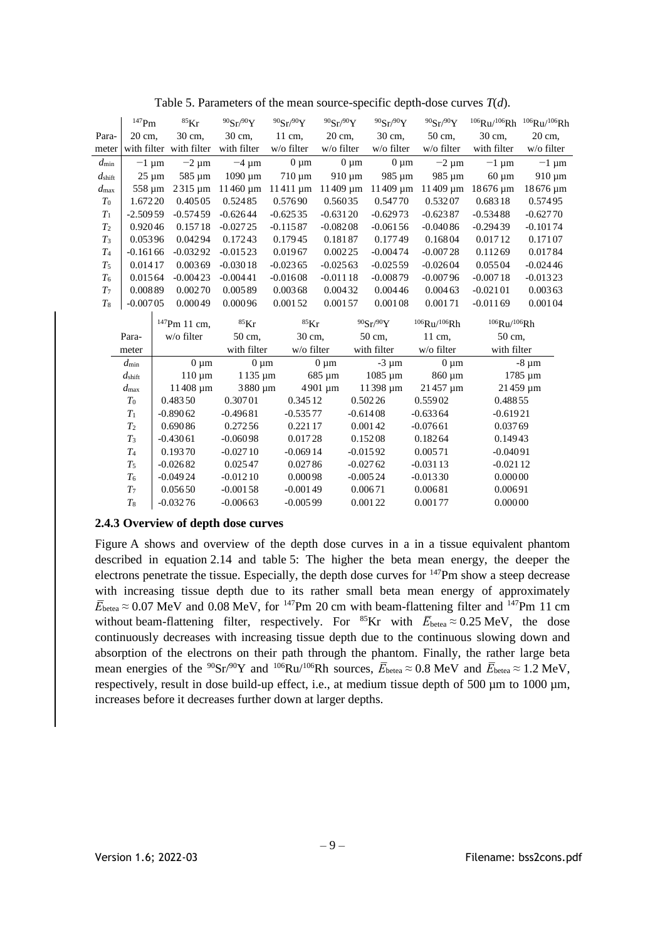|                      | $^{147}\mathrm{Pm}$ | ${}^{85}$ Kr             | 90Sr/90Y                   | 90Sr/90Y                 | $90{\rm Sr}/90{\rm Y}$     | 90Sr/90Y                   | 90Sr/90Y                                 | $106$ Ru/ $106$ Rh | $106$ Ru/ $106$ Rh |
|----------------------|---------------------|--------------------------|----------------------------|--------------------------|----------------------------|----------------------------|------------------------------------------|--------------------|--------------------|
| Para-                | 20 cm,              | 30 cm,                   | 30 cm,                     | 11 cm,                   | 20 cm,                     | 30 cm,                     | 50 cm,                                   | 30 cm,             | 20 cm,             |
| meter                |                     | with filter with filter  | with filter                | w/o filter               | w/o filter                 | $w$ /o filter              | w/o filter                               | with filter        | w/o filter         |
| $d_{\min}$           | $-1 \mu m$          | $-2 \mu m$               | $-4 \mu m$                 | $0 \mu m$                | $0 \mu m$                  | $0 \mu m$                  | $-2 \mu m$                               | $-1 \mu m$         | $-1 \mu m$         |
| $d_{\mathrm{shift}}$ | $25 \mu m$          | 585 um                   | $1090 \mu m$               | $710 \mu m$              | $910 \mu m$                | 985 um                     | 985 um                                   | $60 \mu m$         | $910 \mu m$        |
| $d_{\rm max}$        | 558 um              | 2315 um                  | $11460 \,\mathrm{\upmu m}$ | $11411 \,\mathrm{\mu m}$ | $11409 \,\mathrm{\upmu m}$ | $11409 \,\mathrm{\upmu m}$ |                                          | 11409 μm 18676 μm  | 18676 µm           |
| $T_0$                | 1.67220             | 0.40505                  | 0.52485                    | 0.57690                  | 0.56035                    | 0.54770                    | 0.53207                                  | 0.68318            | 0.57495            |
| $T_1$                | $-2.50959$          | $-0.57459$               | $-0.62644$                 | $-0.62535$               | $-0.63120$                 | $-0.62973$                 | $-0.62387$                               | $-0.53488$         | $-0.62770$         |
| T <sub>2</sub>       | 0.92046             | 0.15718                  | $-0.02725$                 | $-0.11587$               | $-0.08208$                 | $-0.06156$                 | $-0.04086$                               | $-0.29439$         | $-0.10174$         |
| $T_3$                | 0.05396             | 0.04294                  | 0.17243                    | 0.17945                  | 0.18187                    | 0.17749                    | 0.16804                                  | 0.01712            | 0.17107            |
| $T_{4}$              | $-0.16166$          | $-0.03292$               | $-0.01523$                 | 0.01967                  | 0.00225                    | $-0.00474$                 | $-0.00728$                               | 0.11269            | 0.01784            |
| $T_5$                | 0.01417             | 0.00369                  | $-0.03018$                 | $-0.02365$               | $-0.02563$                 | $-0.02559$                 | $-0.02604$                               | 0.05504            | $-0.02446$         |
| T <sub>6</sub>       | 0.01564             | $-0.00423$               | $-0.00441$                 | $-0.01608$               | $-0.01118$                 | $-0.00879$                 | $-0.00796$                               | $-0.00718$         | $-0.01323$         |
| T <sub>7</sub>       | 0.00889             | 0.00270                  | 0.00589                    | 0.00368                  | 0.00432                    | 0.00446                    | 0.00463                                  | $-0.02101$         | 0.00363            |
| $T_8$                | $-0.00705$          | 0.00049                  | 0.00096                    | 0.00152                  | 0.00157                    | 0.00108                    | 0.00171                                  | $-0.01169$         | 0.00104            |
|                      |                     | <sup>147</sup> Pm 11 cm, | ${}^{85}$ Kr               | ${}^{85}$ Kr             |                            | 90Sr/90Y                   | $106$ R <sub>11</sub> /106 <sub>Rh</sub> | $106$ Ru/ $106$ Rh |                    |
|                      | Para-               | w/o filter               | 50 cm,                     | 30 cm,                   |                            | 50 cm,                     | 11 cm,                                   | 50 cm,             |                    |
|                      | meter               |                          | with filter                | w/o filter               |                            | with filter                | w/o filter                               | with filter        |                    |
|                      | $d_{\min}$          | $0 \mu m$                | $0 \mu m$                  |                          | $0 \mu m$                  | $-3 \mu m$                 | $0 \mu m$                                |                    | $-8 \mu m$         |
|                      | $d_{\rm shift}$     | $110 \mu m$              | $1135 \mu m$               |                          | 685 µm                     | 1085 µm                    | 860 µm                                   |                    | 1785 µm            |
|                      | $d_{\rm max}$       | 11408 µm                 | 3880 µm                    |                          | 4901 µm                    | 11398 µm                   | 21457 µm                                 |                    | 21459 µm           |
|                      | $T_{0}$             | 0.48350                  | 0.30701                    | 0.34512                  |                            | 0.50226                    | 0.55902                                  | 0.48855            |                    |
|                      | $T_1$               | $-0.89062$               | $-0.49681$                 | $-0.53577$               |                            | $-0.61408$                 | $-0.63364$                               | $-0.61921$         |                    |
|                      | T <sub>2</sub>      | 0.69086                  | 0.27256                    | 0.221 17                 |                            | 0.00142                    | $-0.07661$                               | 0.03769            |                    |
|                      | $T_3$               | $-0.43061$               | $-0.06098$                 | 0.01728                  |                            | 0.15208                    | 0.18264                                  | 0.14943            |                    |
|                      | $T_{4}$             | 0.19370                  | $-0.02710$                 | $-0.06914$               |                            | $-0.01592$                 | 0.00571                                  | $-0.04091$         |                    |
|                      | $T_5$               | $-0.02682$               | 0.02547                    | 0.02786                  |                            | $-0.02762$                 | $-0.03113$                               | $-0.02112$         |                    |
|                      | T <sub>6</sub>      | $-0.04924$               | $-0.01210$                 | 0.00098                  |                            | $-0.00524$                 | $-0.01330$                               | 0.00000            |                    |
|                      |                     |                          |                            |                          |                            |                            |                                          |                    |                    |
|                      | $T_7$               | 0.05650                  | $-0.00158$                 | $-0.00149$               |                            | 0.00671                    | 0.00681                                  | 0.00691            |                    |

Table 5. Parameters of the mean source-specific depth-dose curves *T*(*d*).

### <span id="page-10-0"></span>**2.4.3 Overview of depth dose curves**

Figure A shows and overview of the depth dose curves in a in a tissue equivalent phantom described in equation 2.14 and table 5: The higher the beta mean energy, the deeper the electrons penetrate the tissue. Especially, the depth dose curves for <sup>147</sup>Pm show a steep decrease with increasing tissue depth due to its rather small beta mean energy of approximately  $\bar{E}_{\text{beta}} \approx 0.07 \text{ MeV}$  and 0.08 MeV, for <sup>147</sup>Pm 20 cm with beam-flattening filter and <sup>147</sup>Pm 11 cm without beam-flattening filter, respectively. For <sup>85</sup>Kr with  $\overline{E}_{\text{beta}} \approx 0.25 \text{ MeV}$ , the dose continuously decreases with increasing tissue depth due to the continuous slowing down and absorption of the electrons on their path through the phantom. Finally, the rather large beta mean energies of the <sup>90</sup>Sr<sup>/90</sup>Y and <sup>106</sup>Ru<sup>/106</sup>Rh sources,  $\overline{E}_{\text{beta}} \approx 0.8 \text{ MeV}$  and  $\overline{E}_{\text{beta}} \approx 1.2 \text{ MeV}$ , respectively, result in dose build-up effect, i.e., at medium tissue depth of 500  $\mu$ m to 1000  $\mu$ m, increases before it decreases further down at larger depths.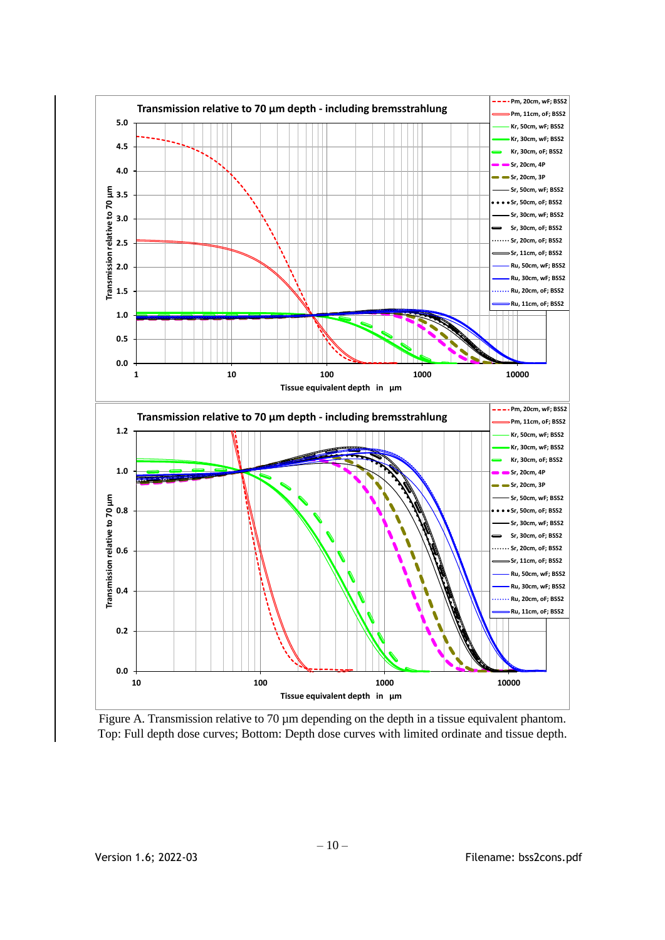

Figure A. Transmission relative to 70  $\mu$ m depending on the depth in a tissue equivalent phantom. Top: Full depth dose curves; Bottom: Depth dose curves with limited ordinate and tissue depth.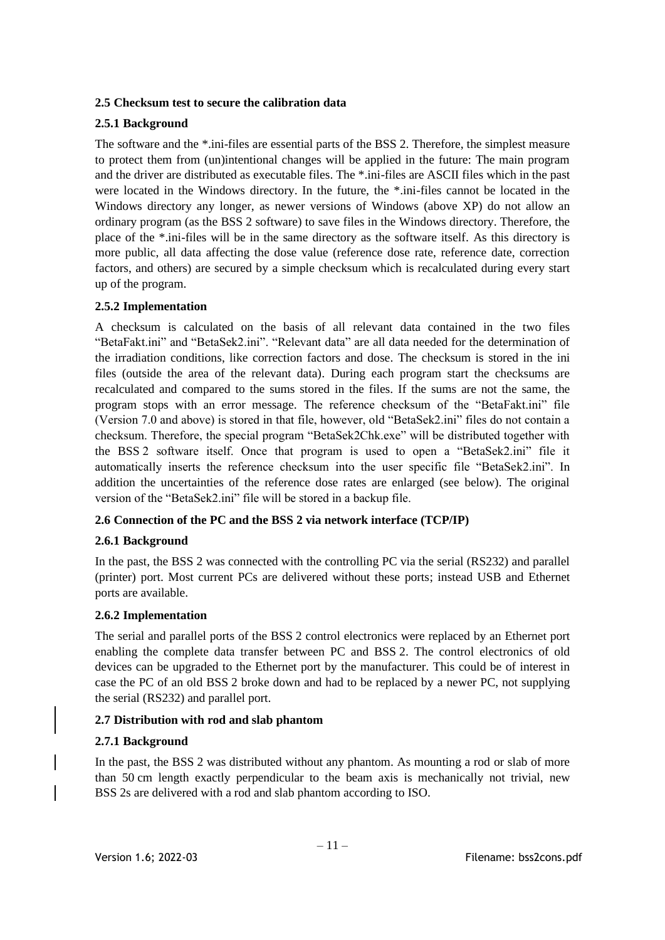## <span id="page-12-1"></span>**2.5 Checksum test to secure the calibration data**

## <span id="page-12-2"></span>**2.5.1 Background**

The software and the \*.ini-files are essential parts of the BSS 2. Therefore, the simplest measure to protect them from (un)intentional changes will be applied in the future: The main program and the driver are distributed as executable files. The \*.ini-files are ASCII files which in the past were located in the Windows directory. In the future, the \*.ini-files cannot be located in the Windows directory any longer, as newer versions of Windows (above XP) do not allow an ordinary program (as the BSS 2 software) to save files in the Windows directory. Therefore, the place of the \*.ini-files will be in the same directory as the software itself. As this directory is more public, all data affecting the dose value (reference dose rate, reference date, correction factors, and others) are secured by a simple checksum which is recalculated during every start up of the program.

## <span id="page-12-3"></span>**2.5.2 Implementation**

A checksum is calculated on the basis of all relevant data contained in the two files "BetaFakt.ini" and "BetaSek2.ini". "Relevant data" are all data needed for the determination of the irradiation conditions, like correction factors and dose. The checksum is stored in the ini files (outside the area of the relevant data). During each program start the checksums are recalculated and compared to the sums stored in the files. If the sums are not the same, the program stops with an error message. The reference checksum of the "BetaFakt.ini" file (Version 7.0 and above) is stored in that file, however, old "BetaSek2.ini" files do not contain a checksum. Therefore, the special program "BetaSek2Chk.exe" will be distributed together with the BSS 2 software itself. Once that program is used to open a "BetaSek2.ini" file it automatically inserts the reference checksum into the user specific file "BetaSek2.ini". In addition the uncertainties of the reference dose rates are enlarged (see below). The original version of the "BetaSek2.ini" file will be stored in a backup file.

## <span id="page-12-4"></span>**2.6 Connection of the PC and the BSS 2 via network interface (TCP/IP)**

### <span id="page-12-5"></span>**2.6.1 Background**

In the past, the BSS 2 was connected with the controlling PC via the serial (RS232) and parallel (printer) port. Most current PCs are delivered without these ports; instead USB and Ethernet ports are available.

### <span id="page-12-6"></span>**2.6.2 Implementation**

The serial and parallel ports of the BSS 2 control electronics were replaced by an Ethernet port enabling the complete data transfer between PC and BSS 2. The control electronics of old devices can be upgraded to the Ethernet port by the manufacturer. This could be of interest in case the PC of an old BSS 2 broke down and had to be replaced by a newer PC, not supplying the serial (RS232) and parallel port.

### <span id="page-12-0"></span>**2.7 Distribution with rod and slab phantom**

### <span id="page-12-7"></span>**2.7.1 Background**

In the past, the BSS 2 was distributed without any phantom. As mounting a rod or slab of more than 50 cm length exactly perpendicular to the beam axis is mechanically not trivial, new BSS 2s are delivered with a rod and slab phantom according to ISO.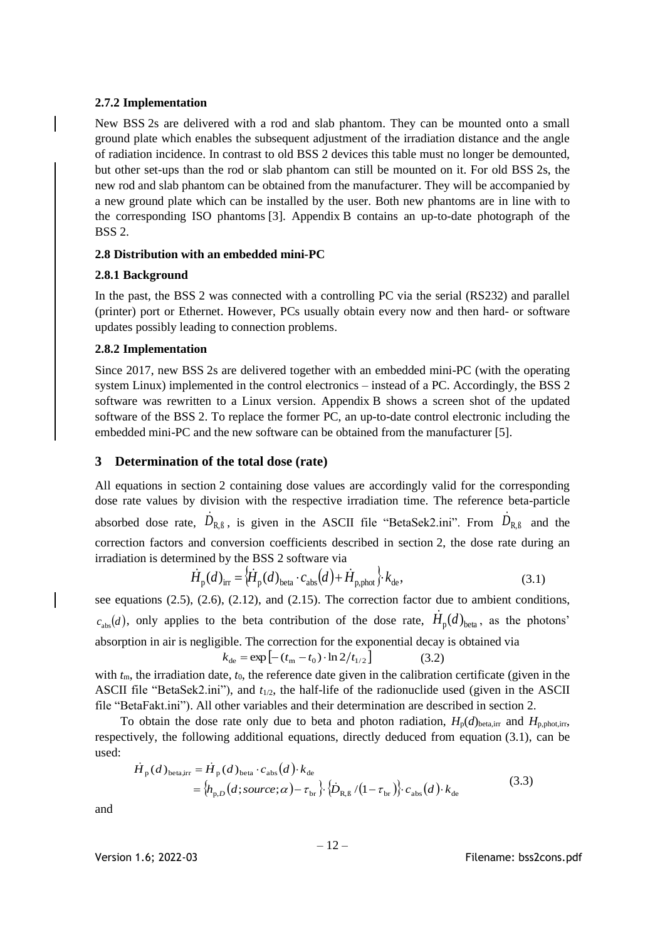### <span id="page-13-1"></span>**2.7.2 Implementation**

New BSS 2s are delivered with a rod and slab phantom. They can be mounted onto a small ground plate which enables the subsequent adjustment of the irradiation distance and the angle of radiation incidence. In contrast to old BSS 2 devices this table must no longer be demounted, but other set-ups than the rod or slab phantom can still be mounted on it. For old BSS 2s, the new rod and slab phantom can be obtained from the manufacturer. They will be accompanied by a new ground plate which can be installed by the user. Both new phantoms are in line with to the corresponding ISO phantoms [\[3\].](#page-24-2) Appendix [B](#page-16-0) contains an up-to-date photograph of the BSS 2.

## <span id="page-13-0"></span>**2.8 Distribution with an embedded mini-PC**

## <span id="page-13-2"></span>**2.8.1 Background**

In the past, the BSS 2 was connected with a controlling PC via the serial (RS232) and parallel (printer) port or Ethernet. However, PCs usually obtain every now and then hard- or software updates possibly leading to connection problems.

## <span id="page-13-3"></span>**2.8.2 Implementation**

Since 2017, new BSS 2s are delivered together with an embedded mini-PC (with the operating system Linux) implemented in the control electronics – instead of a PC. Accordingly, the BSS 2 software was rewritten to a Linux version. Appendix [B](#page-16-0) shows a screen shot of the updated software of the BSS 2. To replace the former PC, an up-to-date control electronic including the embedded mini-PC and the new software can be obtained from the manufacturer [\[5\].](#page-24-4)

## <span id="page-13-4"></span>**3 Determination of the total dose (rate)**

All equations in section [2](#page-3-1) containing dose values are accordingly valid for the corresponding dose rate values by division with the respective irradiation time. The reference beta-particle absorbed dose rate,  $\dot{D}_{R,\beta}$ , is given in the ASCII file "BetaSek2.ini". From  $\dot{D}_{R,\beta}$  and the correction factors and conversion coefficients described in section [2,](#page-3-1) the dose rate during an irradiation is determined by the BSS 2 software via

<span id="page-13-5"></span>
$$
\dot{H}_{\text{p}}(d)_{\text{irr}} = {\left\langle \dot{H}_{\text{p}}(d)_{\text{beta}} \cdot c_{\text{abs}}(d) + \dot{H}_{\text{p,phot}} \right\rangle} \cdot k_{\text{de}},
$$
\n(3.1)

see equations  $(2.5)$ ,  $(2.6)$ ,  $(2.12)$ , and  $(2.15)$ . The correction factor due to ambient conditions,  $c_{\text{abs}}(d)$ , only applies to the beta contribution of the dose rate,  $\dot{H}_{\text{p}}(d)_{\text{beta}}$ , as the photons' absorption in air is negligible. The correction for the exponential decay is obtained via  $k_{\text{de}} = \exp \left[ -(t_{\text{m}} - t_0) \cdot \ln 2/t_{1/2} \right]$ (3.2)

with  $t_m$ , the irradiation date,  $t_0$ , the reference date given in the calibration certificate (given in the ASCII file "BetaSek2.ini"), and  $t_{1/2}$ , the half-life of the radionuclide used (given in the ASCII file "BetaFakt.ini"). All other variables and their determination are described in section [2.](#page-3-1)

To obtain the dose rate only due to beta and photon radiation,  $H_p(d)_{beta,ir}$  and  $H_{p,phot,ir}$ , respectively, the following additional equations, directly deduced from equation (3.1), can be used:

$$
\dot{H}_{\text{p}}(d)_{\text{beta,irr}} = \dot{H}_{\text{p}}(d)_{\text{beta}} \cdot c_{\text{abs}}(d) \cdot k_{\text{de}}
$$
\n
$$
= \left\{ h_{\text{p},D} (d; source; \alpha) - \tau_{\text{br}} \right\} \cdot \left\{ \dot{D}_{\text{R},\text{B}} / (1 - \tau_{\text{br}}) \right\} \cdot c_{\text{abs}}(d) \cdot k_{\text{de}}
$$
\n(3.3)

and

Version 1.6; 2022-03 **Filename:** bss2cons.pdf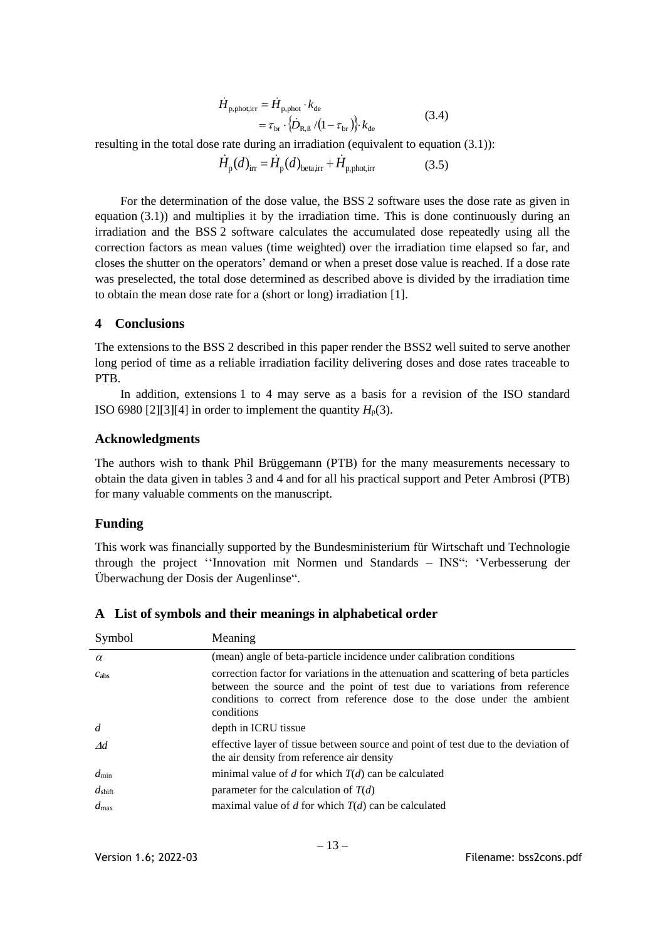$$
\dot{H}_{\text{p,phot,irr}} = \dot{H}_{\text{p,phot}} \cdot k_{\text{de}}
$$
\n
$$
= \tau_{\text{br}} \cdot {\dot{\phi}_{\text{R,B}} / (1 - \tau_{\text{br}})} \cdot k_{\text{de}}
$$
\n(3.4)

resulting in the total dose rate during an irradiation (equivalent to equation (3.1)):

$$
\dot{H}_{\rm p}(d)_{\rm irr} = \dot{H}_{\rm p}(d)_{\rm beta, irr} + \dot{H}_{\rm p, phot, irr}
$$
\n(3.5)

For the determination of the dose value, the BSS 2 software uses the dose rate as given in equation [\(3.1\)\)](#page-13-5) and multiplies it by the irradiation time. This is done continuously during an irradiation and the BSS 2 software calculates the accumulated dose repeatedly using all the correction factors as mean values (time weighted) over the irradiation time elapsed so far, and closes the shutter on the operators' demand or when a preset dose value is reached. If a dose rate was preselected, the total dose determined as described above is divided by the irradiation time to obtain the mean dose rate for a (short or long) irradiation [\[1\].](#page-24-0)

#### <span id="page-14-0"></span>**4 Conclusions**

The extensions to the BSS 2 described in this paper render the BSS2 well suited to serve another long period of time as a reliable irradiation facility delivering doses and dose rates traceable to PTB.

In addition, extensions 1 to 4 may serve as a basis for a revision of the ISO standard ISO 6980 [\[2\]](#page-24-1)[\[3\]](#page-24-2)[\[4\]](#page-24-3) in order to implement the quantity  $H_p(3)$ .

#### **Acknowledgments**

The authors wish to thank Phil Brüggemann (PTB) for the many measurements necessary to obtain the data given in tables 3 and 4 and for all his practical support and Peter Ambrosi (PTB) for many valuable comments on the manuscript.

### **Funding**

This work was financially supported by the Bundesministerium für Wirtschaft und Technologie through the project ''Innovation mit Normen und Standards – INS": 'Verbesserung der Überwachung der Dosis der Augenlinse".

| Symbol             | Meaning                                                                                                                                                                                                                                                    |
|--------------------|------------------------------------------------------------------------------------------------------------------------------------------------------------------------------------------------------------------------------------------------------------|
| $\alpha$           | (mean) angle of beta-particle incidence under calibration conditions                                                                                                                                                                                       |
| $c_{\rm abs}$      | correction factor for variations in the attenuation and scattering of beta particles<br>between the source and the point of test due to variations from reference<br>conditions to correct from reference dose to the dose under the ambient<br>conditions |
| $\overline{d}$     | depth in ICRU tissue                                                                                                                                                                                                                                       |
| $\Delta d$         | effective layer of tissue between source and point of test due to the deviation of<br>the air density from reference air density                                                                                                                           |
| $d_{\min}$         | minimal value of $d$ for which $T(d)$ can be calculated                                                                                                                                                                                                    |
| $d_{\text{shift}}$ | parameter for the calculation of $T(d)$                                                                                                                                                                                                                    |
| $d_{\max}$         | maximal value of d for which $T(d)$ can be calculated                                                                                                                                                                                                      |

### <span id="page-14-1"></span>**A List of symbols and their meanings in alphabetical order**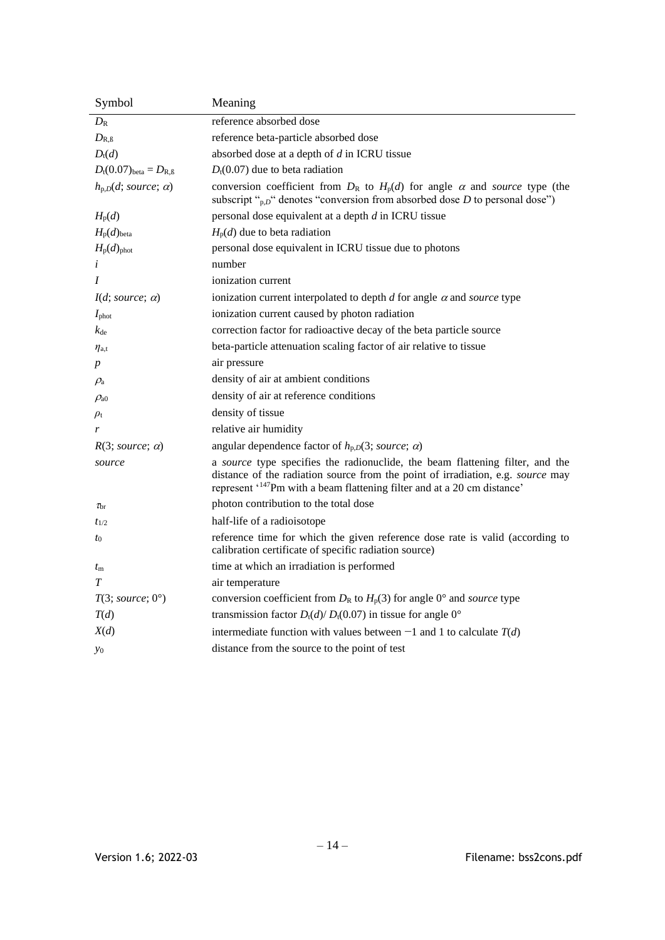| Symbol                                    | Meaning                                                                                                                                                                                                                                                  |
|-------------------------------------------|----------------------------------------------------------------------------------------------------------------------------------------------------------------------------------------------------------------------------------------------------------|
| $D_{\rm R}$                               | reference absorbed dose                                                                                                                                                                                                                                  |
| $D_{\rm R, \beta}$                        | reference beta-particle absorbed dose                                                                                                                                                                                                                    |
| $D_t(d)$                                  | absorbed dose at a depth of $d$ in ICRU tissue                                                                                                                                                                                                           |
| $D_{t}(0.07)_{\text{beta}} = D_{R,\beta}$ | $D_t(0.07)$ due to beta radiation                                                                                                                                                                                                                        |
| $h_{p,D}(d; source; \alpha)$              | conversion coefficient from $D_R$ to $H_p(d)$ for angle $\alpha$ and source type (the<br>subscript " $_{p,D}$ " denotes "conversion from absorbed dose D to personal dose")                                                                              |
| $H_{p}(d)$                                | personal dose equivalent at a depth $d$ in ICRU tissue                                                                                                                                                                                                   |
| $H_{p}(d)_{\text{beta}}$                  | $H_p(d)$ due to beta radiation                                                                                                                                                                                                                           |
| $H_{p}(d)_{\text{phot}}$                  | personal dose equivalent in ICRU tissue due to photons                                                                                                                                                                                                   |
| i                                         | number                                                                                                                                                                                                                                                   |
| $\boldsymbol{I}$                          | ionization current                                                                                                                                                                                                                                       |
| $I(d; source; \alpha)$                    | ionization current interpolated to depth $d$ for angle $\alpha$ and source type                                                                                                                                                                          |
| $I_{\text{phot}}$                         | ionization current caused by photon radiation                                                                                                                                                                                                            |
| $k_{\rm de}$                              | correction factor for radioactive decay of the beta particle source                                                                                                                                                                                      |
| $\eta_{\mathrm{a},\mathrm{t}}$            | beta-particle attenuation scaling factor of air relative to tissue                                                                                                                                                                                       |
| p                                         | air pressure                                                                                                                                                                                                                                             |
| $\rho_{\rm a}$                            | density of air at ambient conditions                                                                                                                                                                                                                     |
| $\rho_{\rm a0}$                           | density of air at reference conditions                                                                                                                                                                                                                   |
| $\rho_{\rm t}$                            | density of tissue                                                                                                                                                                                                                                        |
| r                                         | relative air humidity                                                                                                                                                                                                                                    |
| $R(3; source; \alpha)$                    | angular dependence factor of $h_{p,D}(3; source; \alpha)$                                                                                                                                                                                                |
| source                                    | a source type specifies the radionuclide, the beam flattening filter, and the<br>distance of the radiation source from the point of irradiation, e.g. source may<br>represent ' <sup>147</sup> Pm with a beam flattening filter and at a 20 cm distance' |
| $\tau_{\rm br}$                           | photon contribution to the total dose                                                                                                                                                                                                                    |
| $t_{1/2}$                                 | half-life of a radioisotope                                                                                                                                                                                                                              |
| $t_0$                                     | reference time for which the given reference dose rate is valid (according to<br>calibration certificate of specific radiation source)                                                                                                                   |
| $t_{\rm m}$                               | time at which an irradiation is performed                                                                                                                                                                                                                |
| T                                         | air temperature                                                                                                                                                                                                                                          |
| $T(3; source; 0^{\circ})$                 | conversion coefficient from $D_R$ to $H_p(3)$ for angle 0° and <i>source</i> type                                                                                                                                                                        |
| T(d)                                      | transmission factor $D_t(d)/D_t(0.07)$ in tissue for angle 0°                                                                                                                                                                                            |
| X(d)                                      | intermediate function with values between $-1$ and 1 to calculate $T(d)$                                                                                                                                                                                 |
| $y_0$                                     | distance from the source to the point of test                                                                                                                                                                                                            |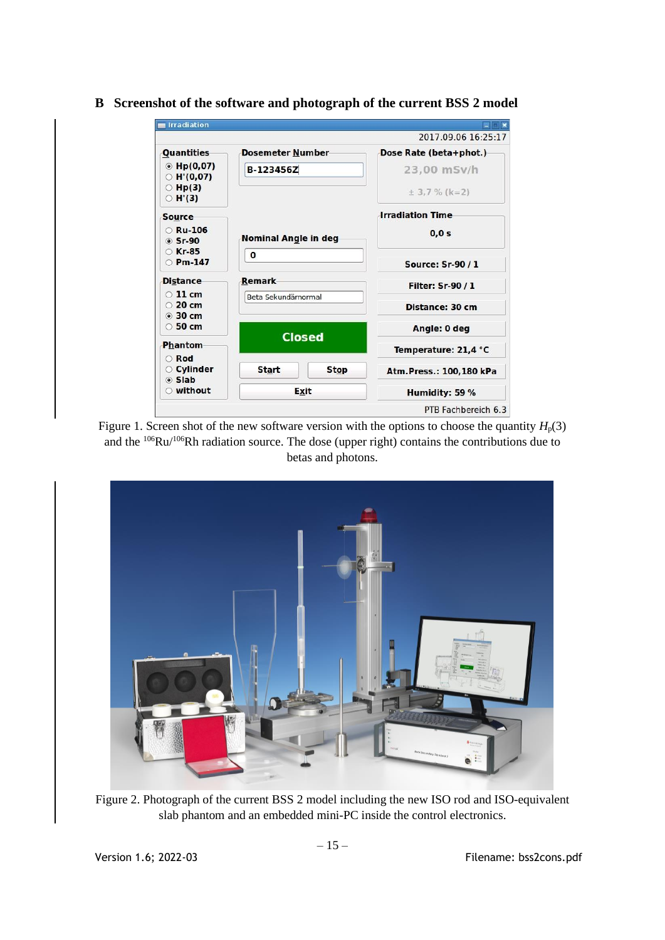| Irradiation                               |                         |               |                         |  |  |
|-------------------------------------------|-------------------------|---------------|-------------------------|--|--|
|                                           |                         |               | 2017.09.06 16:25:17     |  |  |
| Quantities                                | <b>Dosemeter Number</b> |               | Dose Rate (beta+phot.)  |  |  |
| $\odot$ Hp(0,07)<br>$\circ$ H'(0,07)      | <b>B-123456Z</b>        |               | 23,00 mSv/h             |  |  |
| $\circ$ Hp(3)<br>$\circ$ H'(3)            |                         |               | $\pm$ 3.7 % (k=2)       |  |  |
| <b>Source</b>                             |                         |               | <b>Irradiation Time</b> |  |  |
| $\circ$ Ru-106<br>◎ Sr-90                 | Nominal Angle in deg    |               | 0,0 s                   |  |  |
| ○ Kr-85<br>$O Pm-147$                     | 0                       |               | <b>Source: Sr-90/1</b>  |  |  |
| <b>Distance</b>                           | <b>Remark</b>           |               | <b>Filter: Sr-90/1</b>  |  |  |
| $\odot$ 11 cm<br>$\circ$ 20 cm<br>◎ 30 cm | Beta Sekundärnormal     |               | Distance: 30 cm         |  |  |
| $\circ$ 50 cm                             |                         |               | Angle: 0 deg            |  |  |
| <b>Phantom</b>                            |                         | <b>Closed</b> | Temperature: 21,4 °C    |  |  |
| <b>Rod</b><br>○ Cylinder<br>⊙ Slab        | <b>Start</b>            | <b>Stop</b>   | Atm.Press.: 100,180 kPa |  |  |
| ○ without                                 |                         | Exit          | Humidity: 59 %          |  |  |
|                                           |                         |               | PTB Fachbereich 6.3     |  |  |

# <span id="page-16-0"></span>**B Screenshot of the software and photograph of the current BSS 2 model**

Figure 1. Screen shot of the new software version with the options to choose the quantity  $H_p(3)$ and the <sup>106</sup>Ru/<sup>106</sup>Rh radiation source. The dose (upper right) contains the contributions due to betas and photons.



Figure 2. Photograph of the current BSS 2 model including the new ISO rod and ISO-equivalent slab phantom and an embedded mini-PC inside the control electronics.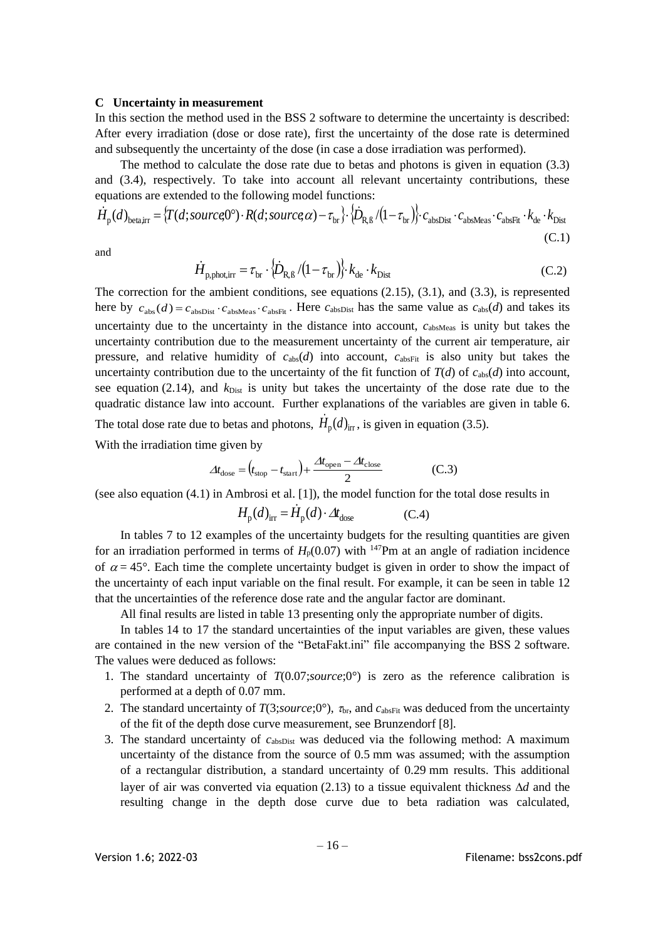#### <span id="page-17-0"></span>**C Uncertainty in measurement**

In this section the method used in the BSS 2 software to determine the uncertainty is described: After every irradiation (dose or dose rate), first the uncertainty of the dose rate is determined and subsequently the uncertainty of the dose (in case a dose irradiation was performed).

The method to calculate the dose rate due to betas and photons is given in equation (3.3) and (3.4), respectively. To take into account all relevant uncertainty contributions, these equations are extended to the following model functions:

$$
\dot{H}_{\rm p}(d)_{\rm beta, irr} = \left\{ T(d; source, 0^{\circ}) \cdot R(d; source, \alpha) - \tau_{\rm br} \right\} \cdot \left\{ \dot{D}_{\rm R,B} / (1 - \tau_{\rm br}) \right\} \cdot c_{\rm absDist} \cdot c_{\rm absMeas} \cdot c_{\rm absFit} \cdot k_{\rm de} \cdot k_{\rm Dist}
$$
\n(C.1)

and

$$
\dot{H}_{\text{p,phot,irr}} = \tau_{\text{br}} \cdot \left\{ \dot{D}_{\text{R,B}} / \left( 1 - \tau_{\text{br}} \right) \right\} \cdot k_{\text{de}} \cdot k_{\text{Dist}} \tag{C.2}
$$

The correction for the ambient conditions, see equations  $(2.15)$ ,  $(3.1)$ , and  $(3.3)$ , is represented here by  $c_{\text{abs}}(d) = c_{\text{absDist}} \cdot c_{\text{absMees}} \cdot c_{\text{absFit}}$ . Here  $c_{\text{absDist}}$  has the same value as  $c_{\text{abs}}(d)$  and takes its uncertainty due to the uncertainty in the distance into account,  $c_{\text{absMeas}}$  is unity but takes the uncertainty contribution due to the measurement uncertainty of the current air temperature, air pressure, and relative humidity of  $c_{\text{abs}}(d)$  into account,  $c_{\text{absFit}}$  is also unity but takes the uncertainty contribution due to the uncertainty of the fit function of  $T(d)$  of  $c_{abs}(d)$  into account, see equation (2.14), and  $k_{Dist}$  is unity but takes the uncertainty of the dose rate due to the quadratic distance law into account. Further explanations of the variables are given in table 6. The total dose rate due to betas and photons,  $\dot{H}_p(d)_{irr}$ , is given in equation (3.5).

With the irradiation time given by

$$
\Delta t_{\text{dose}} = \left(t_{\text{stop}} - t_{\text{start}}\right) + \frac{\Delta t_{\text{open}} - \Delta t_{\text{close}}}{2} \tag{C.3}
$$

(see also equation (4.1) in Ambrosi et al. [1]), the model function for the total dose results in

$$
H_{\rm p}(d)_{\rm irr} = \dot{H}_{\rm p}(d) \cdot \Delta t_{\rm dose} \tag{C.4}
$$

In tables 7 to 12 examples of the uncertainty budgets for the resulting quantities are given for an irradiation performed in terms of  $H_p(0.07)$  with <sup>147</sup>Pm at an angle of radiation incidence of  $\alpha = 45^{\circ}$ . Each time the complete uncertainty budget is given in order to show the impact of the uncertainty of each input variable on the final result. For example, it can be seen in table 12 that the uncertainties of the reference dose rate and the angular factor are dominant.

All final results are listed in table 13 presenting only the appropriate number of digits.

In tables 14 to 17 the standard uncertainties of the input variables are given, these values are contained in the new version of the "BetaFakt.ini" file accompanying the BSS 2 software. The values were deduced as follows:

- 1. The standard uncertainty of *T*(0.07;*source*;0°) is zero as the reference calibration is performed at a depth of 0.07 mm.
- 2. The standard uncertainty of  $T(3;source; 0^{\circ})$ ,  $\tau_{\text{br}}$ , and  $c_{\text{absFit}}$  was deduced from the uncertainty of the fit of the depth dose curve measurement, see Brunzendorf [8].
- 3. The standard uncertainty of  $c_{\text{absDist}}$  was deduced via the following method: A maximum uncertainty of the distance from the source of 0.5 mm was assumed; with the assumption of a rectangular distribution, a standard uncertainty of 0.29 mm results. This additional layer of air was converted via equation (2.13) to a tissue equivalent thickness  $\Delta d$  and the resulting change in the depth dose curve due to beta radiation was calculated,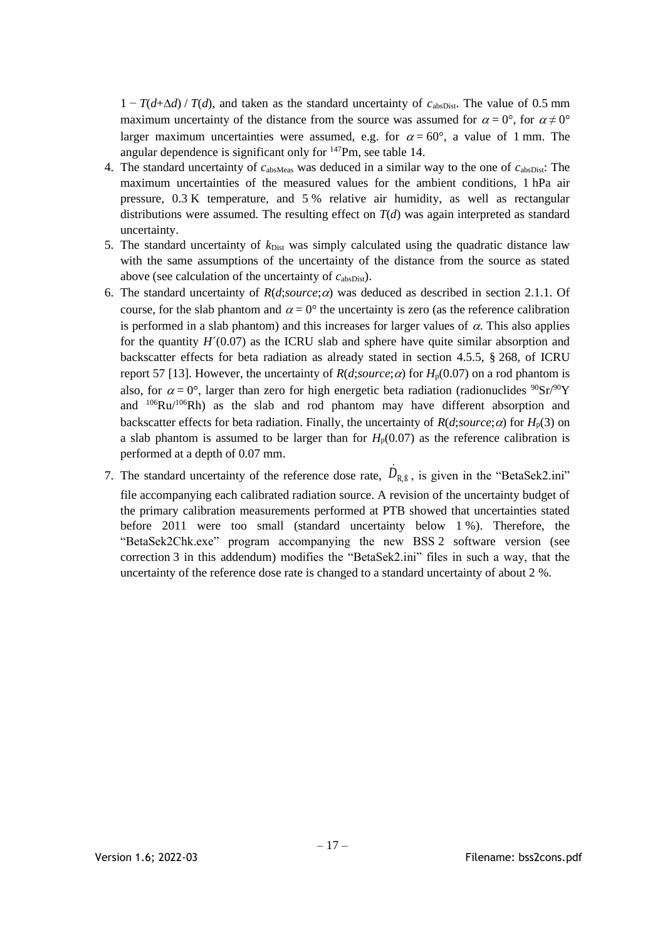$1 - T(d + \Delta d) / T(d)$ , and taken as the standard uncertainty of  $c_{\text{absDist}}$ . The value of 0.5 mm maximum uncertainty of the distance from the source was assumed for  $\alpha = 0^{\circ}$ , for  $\alpha \neq 0^{\circ}$ larger maximum uncertainties were assumed, e.g. for  $\alpha = 60^{\circ}$ , a value of 1 mm. The angular dependence is significant only for <sup>147</sup>Pm, see table 14.

- 4. The standard uncertainty of  $c_{\text{absMeas}}$  was deduced in a similar way to the one of  $c_{\text{absDist}}$ . The maximum uncertainties of the measured values for the ambient conditions, 1 hPa air pressure, 0.3 K temperature, and 5 % relative air humidity, as well as rectangular distributions were assumed. The resulting effect on  $T(d)$  was again interpreted as standard uncertainty.
- 5. The standard uncertainty of  $k_{\text{Dist}}$  was simply calculated using the quadratic distance law with the same assumptions of the uncertainty of the distance from the source as stated above (see calculation of the uncertainty of  $c_{\text{absDist}}$ ).
- 6. The standard uncertainty of  $R(d;source; \alpha)$  was deduced as described in section 2.1.1. Of course, for the slab phantom and  $\alpha = 0^{\circ}$  the uncertainty is zero (as the reference calibration is performed in a slab phantom) and this increases for larger values of  $\alpha$ . This also applies for the quantity  $H'(0.07)$  as the ICRU slab and sphere have quite similar absorption and backscatter effects for beta radiation as already stated in section 4.5.5, § 268, of ICRU report 57 [13]. However, the uncertainty of  $R(d;source; \alpha)$  for  $H_p(0.07)$  on a rod phantom is also, for  $\alpha = 0^{\circ}$ , larger than zero for high energetic beta radiation (radionuclides  $90\text{Sr}/90\text{Y}$ ) and <sup>106</sup>Ru/<sup>106</sup>Rh) as the slab and rod phantom may have different absorption and backscatter effects for beta radiation. Finally, the uncertainty of  $R(d;source;\alpha)$  for  $H_p(3)$  on a slab phantom is assumed to be larger than for  $H_p(0.07)$  as the reference calibration is performed at a depth of 0.07 mm.
- 7. The standard uncertainty of the reference dose rate,  $\dot{D}_{R,\beta}$ , is given in the "BetaSek2.ini" file accompanying each calibrated radiation source. A revision of the uncertainty budget of the primary calibration measurements performed at PTB showed that uncertainties stated before 2011 were too small (standard uncertainty below 1 %). Therefore, the "BetaSek2Chk.exe" program accompanying the new BSS 2 software version (see correction 3 in this addendum) modifies the "BetaSek2.ini" files in such a way, that the uncertainty of the reference dose rate is changed to a standard uncertainty of about 2 %.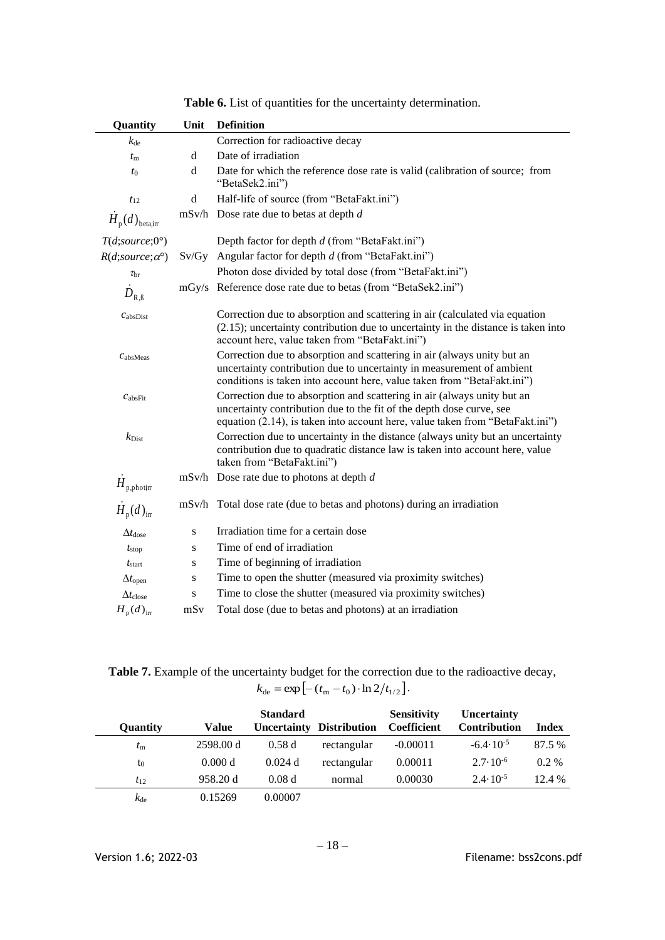| Quantity                      | Unit      | <b>Definition</b>                                                                                                                                                                                                                |
|-------------------------------|-----------|----------------------------------------------------------------------------------------------------------------------------------------------------------------------------------------------------------------------------------|
| $k_{\text{de}}$               |           | Correction for radioactive decay                                                                                                                                                                                                 |
| $t_{\rm m}$                   | d         | Date of irradiation                                                                                                                                                                                                              |
| $t_{0}$                       | d         | Date for which the reference dose rate is valid (calibration of source; from<br>"BetaSek2.ini")                                                                                                                                  |
| $t_{12}$                      | d         | Half-life of source (from "BetaFakt.ini")                                                                                                                                                                                        |
| $H_{p}(d)$ <sub>betajn</sub>  |           | $mSv/h$ Dose rate due to betas at depth $d$                                                                                                                                                                                      |
| T(d;source;0°)                |           | Depth factor for depth d (from "BetaFakt.ini")                                                                                                                                                                                   |
| $R(d;source; \alpha^{\circ})$ |           | $Sv/Gy$ Angular factor for depth $d$ (from "BetaFakt.ini")                                                                                                                                                                       |
| $\tau_{\rm br}$               |           | Photon dose divided by total dose (from "BetaFakt.ini")                                                                                                                                                                          |
| $D_{\textrm{R},\textrm{B}}$   |           | mGy/s Reference dose rate due to betas (from "BetaSek2.ini")                                                                                                                                                                     |
| c <sub>absDist</sub>          |           | Correction due to absorption and scattering in air (calculated via equation<br>$(2.15)$ ; uncertainty contribution due to uncertainty in the distance is taken into<br>account here, value taken from "BetaFakt.ini")            |
| $C$ absMeas                   |           | Correction due to absorption and scattering in air (always unity but an<br>uncertainty contribution due to uncertainty in measurement of ambient<br>conditions is taken into account here, value taken from "BetaFakt.ini")      |
| c <sub>absFit</sub>           |           | Correction due to absorption and scattering in air (always unity but an<br>uncertainty contribution due to the fit of the depth dose curve, see<br>equation (2.14), is taken into account here, value taken from "BetaFakt.ini") |
| $k_{\rm Dist}$                |           | Correction due to uncertainty in the distance (always unity but an uncertainty<br>contribution due to quadratic distance law is taken into account here, value<br>taken from "BetaFakt.ini")                                     |
| $H_{\rm p,photirr}$           |           | $mSv/h$ Dose rate due to photons at depth d                                                                                                                                                                                      |
| $H_{\rm p}(d)_{\rm irr}$      |           | mSv/h Total dose rate (due to betas and photons) during an irradiation                                                                                                                                                           |
| $\Delta t_{\rm dose}$         | ${\bf S}$ | Irradiation time for a certain dose                                                                                                                                                                                              |
| t <sub>stop</sub>             | S         | Time of end of irradiation                                                                                                                                                                                                       |
| $t_{\text{start}}$            | S         | Time of beginning of irradiation                                                                                                                                                                                                 |
| $\Delta t$ open               | S         | Time to open the shutter (measured via proximity switches)                                                                                                                                                                       |
| $\Delta t_{\rm close}$        | S         | Time to close the shutter (measured via proximity switches)                                                                                                                                                                      |
| $H_{\rm p}(d)_{\rm irr}$      | mSv       | Total dose (due to betas and photons) at an irradiation                                                                                                                                                                          |

**Table 6.** List of quantities for the uncertainty determination.

**Table 7.** Example of the uncertainty budget for the correction due to the radioactive decay,  $k_{\text{de}} = \exp \left[ -(t_{\text{m}} - t_0) \cdot \ln 2/t_{1/2} \right].$ 

| Quantity        | Value     | <b>Standard</b><br>Uncertainty | <b>Distribution</b> | <b>Sensitivity</b><br><b>Coefficient</b> | <b>Uncertainty</b><br><b>Contribution</b> | <b>Index</b> |
|-----------------|-----------|--------------------------------|---------------------|------------------------------------------|-------------------------------------------|--------------|
| $t_{\rm m}$     | 2598.00 d | 0.58d                          | rectangular         | $-0.00011$                               | $-6.4 \cdot 10^{-5}$                      | 87.5 %       |
| $t_0$           | 0.000 d   | 0.024 d                        | rectangular         | 0.00011                                  | $2.7 \cdot 10^{-6}$                       | $0.2\%$      |
| $t_{12}$        | 958.20 d  | 0.08d                          | normal              | 0.00030                                  | $2.4 \cdot 10^{-5}$                       | 12.4 %       |
| $k_{\text{de}}$ | 0.15269   | 0.00007                        |                     |                                          |                                           |              |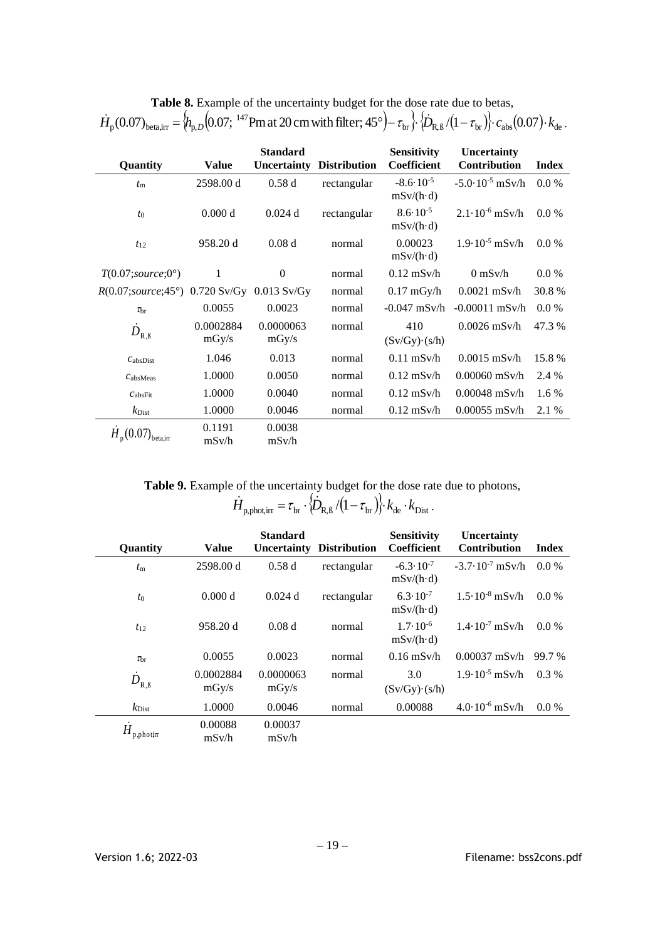| Quantity                                              | <b>Value</b>       | <b>Standard</b><br>Uncertainty | <b>Distribution</b> | <b>Sensitivity</b><br>Coefficient         | <b>Uncertainty</b><br>Contribution | <b>Index</b> |
|-------------------------------------------------------|--------------------|--------------------------------|---------------------|-------------------------------------------|------------------------------------|--------------|
| $t_{\rm m}$                                           | 2598.00 d          | 0.58d                          | rectangular         | $-8.6 \cdot 10^{-5}$<br>$mSv/(h \cdot d)$ | $-5.0 \cdot 10^{-5}$ mSv/h         | $0.0\%$      |
| $t_0$                                                 | 0.000 d            | $0.024$ d                      | rectangular         | $8.6 \cdot 10^{-5}$<br>$mSv/(h \cdot d)$  | $2.1 \cdot 10^{-6}$ mSv/h          | 0.0 %        |
| $t_{12}$                                              | 958.20 d           | 0.08d                          | normal              | 0.00023<br>$mSv/(h \cdot d)$              | $1.9 \cdot 10^{-5}$ mSv/h          | 0.0 %        |
| $T(0.07; source; 0^{\circ})$                          | 1                  | $\theta$                       | normal              | $0.12$ mSv/h                              | $0 \text{ mSv/h}$                  | 0.0 %        |
| $R(0.07; source; 45^{\circ})$ 0.720 Sv/Gy 0.013 Sv/Gy |                    |                                | normal              | $0.17 \text{ mGy/h}$                      | $0.0021$ mSv/h                     | 30.8%        |
| $\tau_{\rm br}$                                       | 0.0055             | 0.0023                         | normal              | $-0.047$ mSv/h                            | $-0.00011$ mSv/h                   | $0.0\%$      |
| $D_{\textrm{R},\textrm{B}}$                           | 0.0002884<br>mgy/s | 0.0000063<br>mgy/s             | normal              | 410<br>$(Sv/Gy) \cdot (s/h)$              | $0.0026$ mSv/h                     | 47.3%        |
| $C_{\text{absDist}}$                                  | 1.046              | 0.013                          | normal              | $0.11$ mSv/h                              | $0.0015$ mSv/h                     | 15.8%        |
| C <sub>absMeas</sub>                                  | 1.0000             | 0.0050                         | normal              | $0.12$ mSv/h                              | $0.00060$ mSv/h                    | 2.4 %        |
| $c_{\text{absFit}}$                                   | 1.0000             | 0.0040                         | normal              | $0.12$ mSv/h                              | $0.00048$ mSv/h                    | 1.6 %        |
| $k_{\rm Dist}$                                        | 1.0000             | 0.0046                         | normal              | $0.12$ mSv/h                              | $0.00055$ mSv/h                    | 2.1 %        |
| $H_{\text{n}}(0.07)_{\text{beta,irr}}$                | 0.1191<br>mSv/h    | 0.0038<br>mSv/h                |                     |                                           |                                    |              |

|  | Table 8. Example of the uncertainty budget for the dose rate due to betas,                                                                                                                                                                   |
|--|----------------------------------------------------------------------------------------------------------------------------------------------------------------------------------------------------------------------------------------------|
|  | $H_p(0.07)_{\text{beta,irr}} = \langle h_{p,D}(0.07; \frac{147}{147} \text{Pm at 20 cm with filter}; 45^\circ) - \tau_{\text{br}} \cdot \langle \dot{D}_{R,B}/(1-\tau_{\text{br}}) \rangle \cdot c_{\text{abs}}(0.07) \cdot k_{\text{de}}$ . |

**Table 9.** Example of the uncertainty budget for the dose rate due to photons,

 $\dot{H}_{\rm p,phot,irr} = \tau_{\rm br} \cdot \langle \dot{D}_{\rm R,B} / (1-\tau_{\rm br}) \rangle \cdot k_{\rm de} \cdot k_{\rm Dist} \,.$ 

| Quantity           | <b>Value</b>       | <b>Standard</b>    | <b>Uncertainty Distribution</b> | <b>Sensitivity</b><br>Coefficient         | <b>Uncertainty</b><br><b>Contribution</b> | <b>Index</b> |
|--------------------|--------------------|--------------------|---------------------------------|-------------------------------------------|-------------------------------------------|--------------|
| $t_{\rm m}$        | 2598.00 d          | 0.58d              | rectangular                     | $-6.3 \cdot 10^{-7}$<br>$mSv/(h \cdot d)$ | $-3.7 \cdot 10^{-7}$ mSv/h                | $0.0\%$      |
| $t_0$              | 0.000 d            | $0.024$ d          | rectangular                     | $6.3 \cdot 10^{-7}$<br>$mSv/(h \cdot d)$  | $1.5 \cdot 10^{-8}$ mSv/h                 | $0.0\%$      |
| $t_{12}$           | 958.20 d           | 0.08d              | normal                          | $1.7 \cdot 10^{-6}$<br>$mSv/(h \cdot d)$  | $1.4 \cdot 10^{-7}$ mSv/h                 | $0.0\%$      |
| $\tau_{\rm br}$    | 0.0055             | 0.0023             | normal                          | $0.16$ mSv/h                              | $0.00037$ mSv/h                           | 99.7 %       |
| $D_{\rm R, \beta}$ | 0.0002884<br>mgy/s | 0.0000063<br>mgy/s | normal                          | 3.0<br>$(Sv/Gy) \cdot (s/h)$              | $1.9 \cdot 10^{-5}$ mSv/h                 | $0.3\%$      |
| $k_{\text{Dist}}$  | 1.0000             | 0.0046             | normal                          | 0.00088                                   | $4.0 \cdot 10^{-6}$ mSv/h                 | $0.0\%$      |
| H<br>p,photin      | 0.00088<br>mSv/h   | 0.00037<br>mSv/h   |                                 |                                           |                                           |              |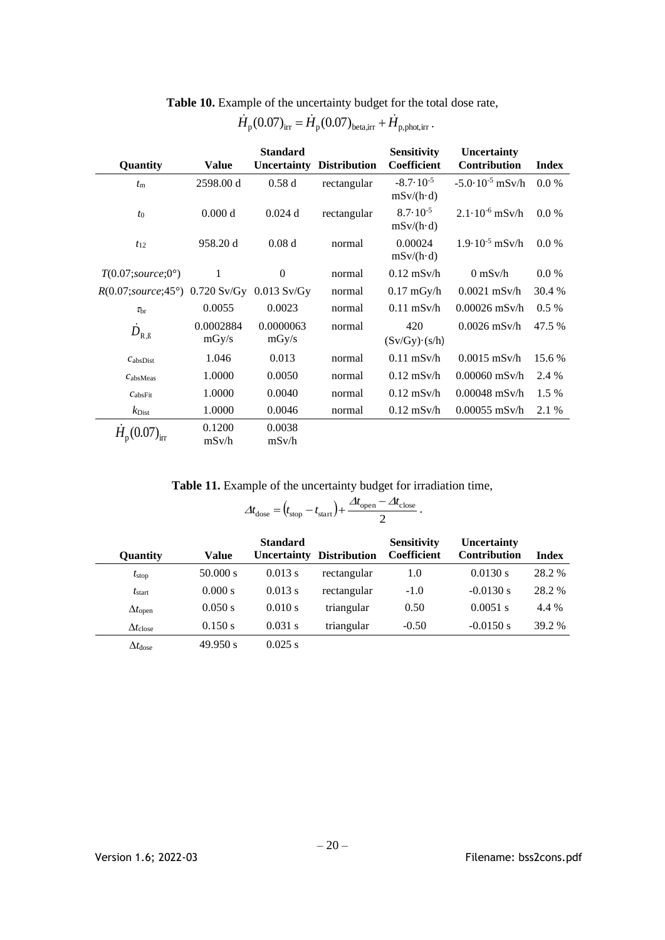| Quantity                                  | <b>Value</b>       | <b>Standard</b><br>Uncertainty | <b>Distribution</b> | <b>Sensitivity</b><br>Coefficient         | Uncertainty<br>Contribution | <b>Index</b> |
|-------------------------------------------|--------------------|--------------------------------|---------------------|-------------------------------------------|-----------------------------|--------------|
| $t_{\rm m}$                               | 2598.00 d          | 0.58d                          | rectangular         | $-8.7 \cdot 10^{-5}$<br>$mSv/(h \cdot d)$ | $-5.0 \cdot 10^{-5}$ mSv/h  | $0.0\%$      |
| $t_0$                                     | 0.000 d            | $0.024$ d                      | rectangular         | $8.7 \cdot 10^{-5}$<br>$mSv/(h \cdot d)$  | $2.1 \cdot 10^{-6}$ mSv/h   | $0.0\%$      |
| $t_{12}$                                  | 958.20 d           | 0.08d                          | normal              | 0.00024<br>$mSv/(h \cdot d)$              | $1.9 \cdot 10^{-5}$ mSv/h   | $0.0\%$      |
| $T(0.07; source; 0^{\circ})$              | 1                  | $\theta$                       | normal              | $0.12$ mSv/h                              | $0$ mSv/h                   | 0.0 %        |
| $R(0.07; source; 45^{\circ})$ 0.720 Sv/Gy |                    | $0.013$ Sv/Gy                  | normal              | $0.17$ mGy/h                              | $0.0021$ mSv/h              | 30.4 %       |
| $\tau_{\rm br}$                           | 0.0055             | 0.0023                         | normal              | $0.11$ mSv/h                              | $0.00026$ mSv/h             | $0.5\%$      |
| $D_{\textrm{R},\textrm{B}}$               | 0.0002884<br>mgy/s | 0.0000063<br>mgy/s             | normal              | 420<br>$(Sv/Gy) \cdot (s/h)$              | $0.0026$ mSv/h              | 47.5 %       |
| $C_{\rm absDist}$                         | 1.046              | 0.013                          | normal              | $0.11$ mSv/h                              | $0.0015$ mSv/h              | 15.6 %       |
| $C_{\rm absMeas}$                         | 1.0000             | 0.0050                         | normal              | $0.12$ mSv/h                              | $0.00060$ mSv/h             | 2.4 %        |
| $C_{\text{absFit}}$                       | 1.0000             | 0.0040                         | normal              | $0.12$ mSv/h                              | $0.00048$ mSv/h             | 1.5 %        |
| $k_{\text{Dist}}$                         | 1.0000             | 0.0046                         | normal              | $0.12$ mSv/h                              | $0.00055$ mSv/h             | 2.1 %        |
| $H_{\rm p}$ (t                            | 0.1200<br>mSv/h    | 0.0038<br>mSv/h                |                     |                                           |                             |              |

**Table 10.** Example of the uncertainty budget for the total dose rate,

# $\dot{H}_{\rm p}$ (0.07)<sub>irr</sub> =  $\dot{H}_{\rm p}$ (0.07)<sub>beta,irr</sub> +  $\dot{H}_{\rm p,phot,irr}$ .

**Table 11.** Example of the uncertainty budget for irradiation time,

$$
\Delta t_{\text{dose}} = (t_{\text{stop}} - t_{\text{start}}) + \frac{\Delta t_{\text{open}} - \Delta t_{\text{close}}}{2}.
$$

| Quantity               | <b>Value</b> | <b>Standard</b><br>Uncertainty | <b>Distribution</b> | <b>Sensitivity</b><br>Coefficient | Uncertainty<br><b>Contribution</b> | <b>Index</b> |
|------------------------|--------------|--------------------------------|---------------------|-----------------------------------|------------------------------------|--------------|
| $t_{\rm stop}$         | 50.000 s     | 0.013 s                        | rectangular         | 1.0                               | 0.0130 s                           | 28.2 %       |
| $t_{\text{start}}$     | 0.000 s      | 0.013 s                        | rectangular         | $-1.0$                            | $-0.0130$ s                        | 28.2 %       |
| $\Delta t_{\rm open}$  | 0.050 s      | 0.010 s                        | triangular          | 0.50                              | $0.0051$ s                         | 4.4 %        |
| $\Delta t_{\rm close}$ | 0.150 s      | $0.031$ s                      | triangular          | $-0.50$                           | $-0.0150$ s                        | 39.2 %       |
| $\Delta t_{\rm dose}$  | 49.950 s     | $0.025$ s                      |                     |                                   |                                    |              |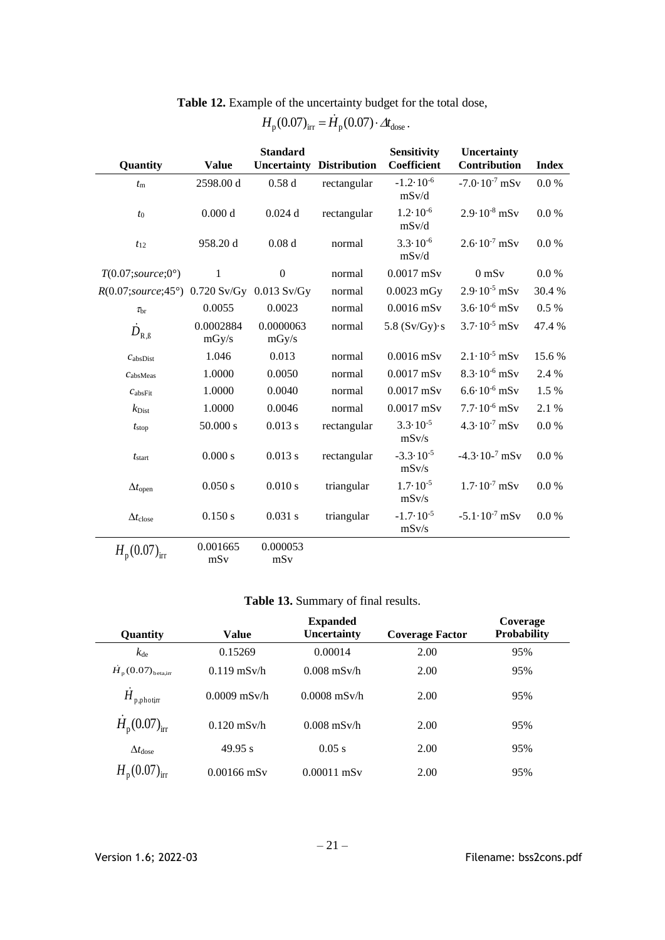| Quantity                                              | <b>Value</b>       | <b>Standard</b>    | <b>Uncertainty Distribution</b> | <b>Sensitivity</b><br>Coefficient | Uncertainty<br>Contribution | <b>Index</b> |
|-------------------------------------------------------|--------------------|--------------------|---------------------------------|-----------------------------------|-----------------------------|--------------|
| $t_{\rm m}$                                           | 2598.00 d          | 0.58d              | rectangular                     | $-1.2 \cdot 10^{-6}$<br>mSv/d     | $-7.0 \cdot 10^{-7}$ mSv    | 0.0 %        |
| $t_{0}$                                               | 0.000 d            | 0.024d             | rectangular                     | $1.2 \cdot 10^{-6}$<br>mSv/d      | $2.9 \cdot 10^{-8}$ mSv     | 0.0 %        |
| $t_{12}$                                              | 958.20 d           | 0.08d              | normal                          | $3.3 \cdot 10^{-6}$<br>mSv/d      | $2.6 \cdot 10^{-7}$ mSv     | 0.0 %        |
| $T(0.07; source; 0^{\circ})$                          | 1                  | $\boldsymbol{0}$   | normal                          | $0.0017$ mSv                      | $0$ mS $v$                  | 0.0 %        |
| $R(0.07; source; 45^{\circ})$ 0.720 Sv/Gy 0.013 Sv/Gy |                    |                    | normal                          | $0.0023$ mGy                      | $2.9 \cdot 10^{-5}$ mSv     | 30.4%        |
| $\tau_{\rm br}$                                       | 0.0055             | 0.0023             | normal                          | $0.0016$ mSv                      | $3.6 \cdot 10^{-6}$ mSv     | 0.5%         |
| $D_{\rm R, \beta}$                                    | 0.0002884<br>mGy/s | 0.0000063<br>mGy/s | normal                          | 5.8 $(Sv/Gy)$ s                   | $3.7 \cdot 10^{-5}$ mSv     | 47.4 %       |
| $C_{\text{absDist}}$                                  | 1.046              | 0.013              | normal                          | $0.0016$ mSv                      | $2.1 \cdot 10^{-5}$ mSv     | 15.6 %       |
| $C$ absMeas                                           | 1.0000             | 0.0050             | normal                          | $0.0017$ mSv                      | $8.3 \cdot 10^{-6}$ mSv     | 2.4 %        |
| $c_{\text{absFit}}$                                   | 1.0000             | 0.0040             | normal                          | $0.0017$ mSv                      | $6.6 \cdot 10^{-6}$ mSv     | 1.5 %        |
| $k_{\text{Dist}}$                                     | 1.0000             | 0.0046             | normal                          | $0.0017$ mSv                      | $7.7 \cdot 10^{-6}$ mSv     | 2.1 %        |
| t <sub>stop</sub>                                     | 50.000 s           | 0.013 s            | rectangular                     | $3.3 \cdot 10^{-5}$<br>mSv/s      | $4.3 \cdot 10^{-7}$ mSv     | 0.0 %        |
| $t_{\text{start}}$                                    | 0.000 s            | 0.013 s            | rectangular                     | $-3.3 \cdot 10^{-5}$<br>mSv/s     | $-4.3 \cdot 10^{-7}$ mSv    | 0.0 %        |
| $\Delta t$ <sub>open</sub>                            | 0.050 s            | 0.010 s            | triangular                      | $1.7 \cdot 10^{-5}$<br>mSv/s      | $1.7 \cdot 10^{-7}$ mSv     | 0.0 %        |
| $\Delta t_{\rm close}$                                | 0.150 s            | 0.031 s            | triangular                      | $-1.7 \cdot 10^{-5}$<br>mSv/s     | $-5.1 \cdot 10^{-7}$ mSv    | 0.0 %        |
| $H_{\rm p} (0.07)_{\rm irr}$                          | 0.001665<br>mSv    | 0.000053<br>mSv    |                                 |                                   |                             |              |

**Table 12.** Example of the uncertainty budget for the total dose,

# $H_{\rm p} (0.07)_{\rm irr} = \dot{H}_{\rm p} (0.07) \cdot \Delta t_{\rm dose}$ .

# **Table 13.** Summary of final results.

| Quantity                                   | Value          | <b>Expanded</b><br><b>Uncertainty</b> | <b>Coverage Factor</b> | Coverage<br><b>Probability</b> |
|--------------------------------------------|----------------|---------------------------------------|------------------------|--------------------------------|
| $k_{\text{de}}$                            | 0.15269        | 0.00014                               | 2.00                   | 95%                            |
| $\dot{H}_\text{p}(0.07)_{\text{beta,irr}}$ | $0.119$ mSv/h  | $0.008$ mSv/h                         | 2.00                   | 95%                            |
| ${\dot H}_{\rm p,photir}$                  | $0.0009$ mSv/h | $0.0008$ mSv/h                        | 2.00                   | 95%                            |
| $H_{\rm p} (0.07)_{\rm irr}$               | $0.120$ mSv/h  | $0.008$ mSv/h                         | 2.00                   | 95%                            |
| $\Delta t_{\rm dose}$                      | 49.95 s        | 0.05 s                                | 2.00                   | 95%                            |
| $H_{\rm p} (0.07)_{\rm irr}$               | $0.00166$ mSy  | $0.00011$ mSv                         | 2.00                   | 95%                            |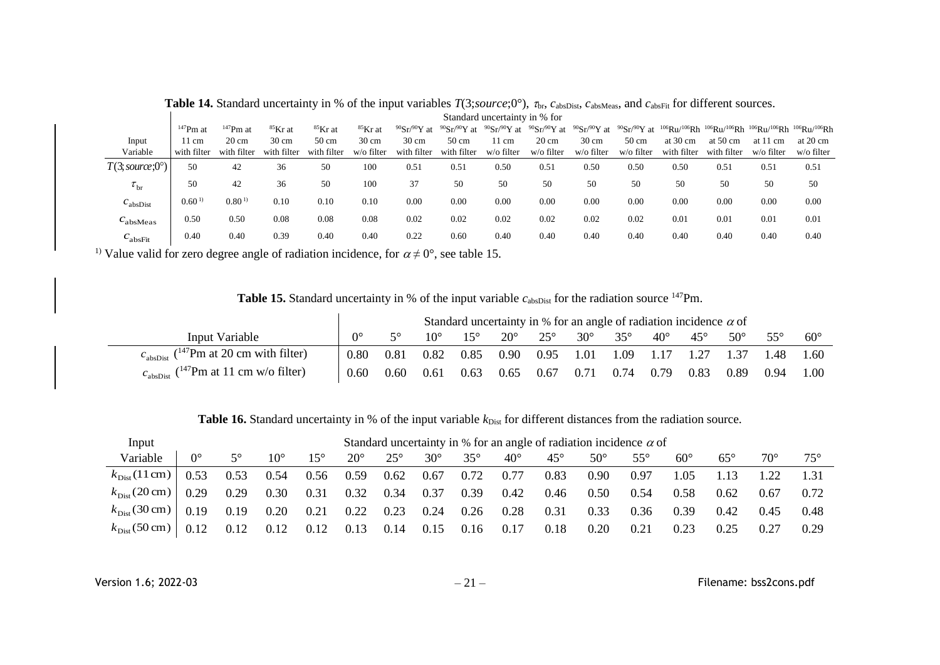|                           |                   |                   |                 |                 |                 |                           |                                                     | Standard uncertainty in % for |                           |                 |                 |                    |                    |                                                                                                                   |                    |
|---------------------------|-------------------|-------------------|-----------------|-----------------|-----------------|---------------------------|-----------------------------------------------------|-------------------------------|---------------------------|-----------------|-----------------|--------------------|--------------------|-------------------------------------------------------------------------------------------------------------------|--------------------|
|                           | $147$ Pm at       | $147$ Pm at       | ${}^{85}$ Kr at | ${}^{85}$ Kr at | ${}^{85}$ Kr at | $90{\rm Sr}/90{\rm Y}$ at | $90{\rm Sr}/90{\rm Y}$ at $90{\rm Sr}/90{\rm Y}$ at |                               | $90{\rm Sr}/90{\rm Y}$ at |                 |                 |                    |                    | $^{90}Sr^{90}Y$ at $^{90}Sr^{90}Y$ at $^{106}Ru^{106}Rh$ $^{106}Ru^{106}Rh$ $^{106}Ru^{106}Rh$ $^{106}Ru^{106}Rh$ |                    |
| Input                     | 11 cm             | $20 \text{ cm}$   | $30 \text{ cm}$ | $50 \text{ cm}$ | $30 \text{ cm}$ | $30 \text{ cm}$           | $50 \text{ cm}$                                     | 11 cm                         | $20 \text{ cm}$           | $30 \text{ cm}$ | $50 \text{ cm}$ | at $30 \text{ cm}$ | at $50 \text{ cm}$ | at 11 cm                                                                                                          | at $20 \text{ cm}$ |
| Variable                  | with filter       | with filter       | with filter     | with filter     | w/o filter      | with filter               | with filter                                         | w/o filter                    | w/o filter                | w/o filter      | w/o filter      | with filter        | with filter        | w/o filter                                                                                                        | w/o filter         |
| $T(3; source; 0^{\circ})$ | 50                | 42                | 36              | 50              | 100             | 0.51                      | 0.51                                                | 0.50                          | 0.51                      | 0.50            | 0.50            | 0.50               | 0.51               | 0.51                                                                                                              | 0.51               |
| $\tau_{\rm br}$           | 50                | 42                | 36              | 50              | 100             | 37                        | 50                                                  | 50                            | 50                        | 50              | 50              | 50                 | 50                 | 50                                                                                                                | 50                 |
| $c_{\text{absDist}}$      | 0.60 <sup>1</sup> | 0.80 <sup>1</sup> | 0.10            | 0.10            | 0.10            | 0.00                      | 0.00                                                | 0.00                          | 0.00                      | 0.00            | 0.00            | 0.00               | 0.00               | 0.00                                                                                                              | 0.00               |
| c <sub>absMeas</sub>      | 0.50              | 0.50              | 0.08            | 0.08            | 0.08            | 0.02                      | 0.02                                                | 0.02                          | 0.02                      | 0.02            | 0.02            | 0.01               | 0.01               | 0.01                                                                                                              | 0.01               |
| $c_{\rm absFit}$          | 0.40              | 0.40              | 0.39            | 0.40            | 0.40            | 0.22                      | 0.60                                                | 0.40                          | 0.40                      | 0.40            | 0.40            | 0.40               | 0.40               | 0.40                                                                                                              | 0.40               |

**Table 14.** Standard uncertainty in % of the input variables  $T(3; source; 0^{\circ})$ ,  $\tau_{\text{br}}$ ,  $c_{\text{absDist}}$ ,  $c_{\text{absNfeas}}$ , and  $c_{\text{absFit}}$  for different sources.

<sup>1)</sup> Value valid for zero degree angle of radiation incidence, for  $\alpha \neq 0^{\circ}$ , see table 15.

**Table 15.** Standard uncertainty in % of the input variable  $c_{\text{absDist}}$  for the radiation source <sup>147</sup>Pm.

|                                                               |                  |      |      |      |              |              |            |            | Standard uncertainty in % for an angle of radiation incidence $\alpha$ of |              |              |      |              |
|---------------------------------------------------------------|------------------|------|------|------|--------------|--------------|------------|------------|---------------------------------------------------------------------------|--------------|--------------|------|--------------|
| Input Variable                                                | $\Omega^{\circ}$ |      |      |      | $20^{\circ}$ | $25^{\circ}$ | $30^\circ$ | $35^\circ$ | $40^\circ$                                                                | $45^{\circ}$ | $50^{\circ}$ |      | $60^{\circ}$ |
| $cabsDist$ ( <sup>147</sup> Pm at 20 cm with filter)          | $0.80^{\circ}$   | 0.81 | 0.82 | 0.85 |              |              |            |            | 0.90 0.95 1.01 1.09 1.17 1.27 1.37 1.48 1.60                              |              |              |      |              |
| $c_{\text{absDist}}$ ( <sup>147</sup> Pm at 11 cm w/o filter) | 0.60             | 0.60 | 0.61 | 0.63 | 0.65         | 0.67         | 0.71       | 0.74       | 0.79                                                                      | 0.83         | 0.89         | 0.94 | 1.00         |

**Table 16.** Standard uncertainty in % of the input variable  $k_{Dist}$  for different distances from the radiation source.

| Input                            | Standard uncertainty in % for an angle of radiation incidence $\alpha$ of |             |              |               |              |              |            |              |              |              |            |              |              |            |              |            |
|----------------------------------|---------------------------------------------------------------------------|-------------|--------------|---------------|--------------|--------------|------------|--------------|--------------|--------------|------------|--------------|--------------|------------|--------------|------------|
| Variable                         | $0^{\circ}$                                                               | $5^{\circ}$ | $10^{\circ}$ | 15 $^{\circ}$ | $20^{\circ}$ | $25^{\circ}$ | $30^\circ$ | $35^{\circ}$ | $40^{\circ}$ | $45^{\circ}$ | $50^\circ$ | $55^{\circ}$ | $60^{\circ}$ | $65^\circ$ | $70^{\circ}$ | $75^\circ$ |
| $k_{\text{Dist}}(11 \text{ cm})$ | 0.53                                                                      | 0.53        | 0.54         | 0.56          | 0.59         | 0.62         | 0.67       | 0.72         | 0.77         | 0.83         | 0.90       | 0.97         | 1.05         |            |              |            |
| $k_{\text{Dist}}(20 \text{ cm})$ | 0.29                                                                      | 0.29        | 0.30         | 0.31          | 0.32         | 0.34         | 0.37       | 0.39         | 0.42         | 0.46         | 0.50       | 0.54         | 0.58         | 0.62       | 0.67         | 0.72       |
| $k_{\text{Dist}}(30 \text{ cm})$ | 0.19                                                                      | 0.19        | 0.20         | 0.21          | 0.22         | 0.23         | 0.24       | 0.26         | 0.28         | 0.31         | 0.33       | 0.36         | 0.39         | 0.42       | 0.45         | 0.48       |
| $k_{\text{Dist}}$ (50 cm)        | 0.12                                                                      | 0.12        | 0.12         | 0.12          | 0.13         | 0.14         | 0.15       | 0.16         | 0.17         | 0.18         | 0.20       | 0.21         | 0.23         |            | 0.27         | 0.29       |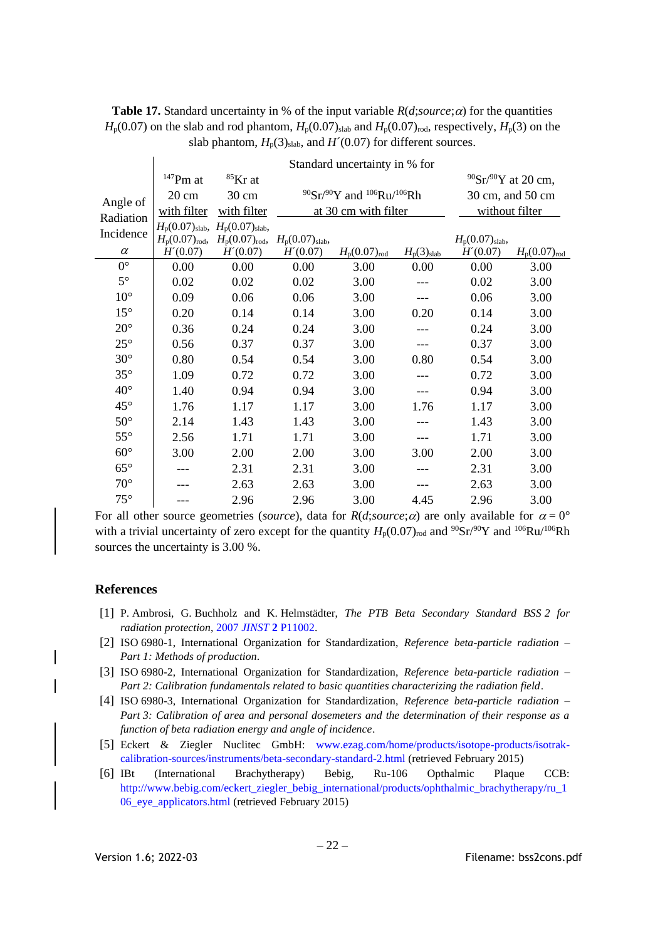|                       |                        |                 | $H_p(0.07)$ on the slab and rod phantom, $H_p(0.07)_{\text{slab}}$ and $H_p(0.07)_{\text{rod}}$ , respectively, $H_p(3)$ on the |                                        |
|-----------------------|------------------------|-----------------|---------------------------------------------------------------------------------------------------------------------------------|----------------------------------------|
|                       |                        |                 | slab phantom, $H_p(3)_{slab}$ , and $H'(0.07)$ for different sources.                                                           |                                        |
|                       |                        |                 | Standard uncertainty in % for                                                                                                   |                                        |
|                       | $^{147}\mathrm{Pm}$ at | ${}^{85}$ Kr at |                                                                                                                                 | $90\text{Sr}$ / $90\text{Y}$ at 20 cm, |
|                       | $20 \text{ cm}$        | $30 \text{ cm}$ | $^{90}Sr/^{90}Y$ and $^{106}Ru/^{106}Rh$                                                                                        | 30 cm, and 50 cm                       |
| Angle of<br>Radiation | with filter            | with filter     | at 30 cm with filter                                                                                                            | without filter                         |

 $0^{\circ}$  0.00 0.00 0.00 3.00 0.00 0.00 3.00 5° 0.02 0.02 0.02 3.00 --- 0.02 3.00 10<sup>°</sup> 0.09 0.06 0.06 3.00 --- 0.06 3.00 15° 0.20 0.14 0.14 3.00 0.20 0.14 3.00 20° 0.36 0.24 0.24 3.00 --- 0.24 3.00 25° 0.56 0.37 0.37 3.00 --- 0.37 3.00 30° 0.80 0.54 0.54 3.00 0.80 0.54 3.00 35° 1.09 0.72 0.72 3.00 --- 0.72 3.00 40° 1.40 0.94 0.94 3.00 --- 0.94 3.00 45° 1.76 1.17 1.17 3.00 1.76 1.17 3.00 50° 2.14 1.43 1.43 3.00 --- 1.43 3.00 55°  $\begin{array}{|l} \n\text{2.56} \\
\text{2.56} \\
\text{1.71} \\
\text{3.00} \\
\text{-3.00} \\
\text{-4.71} \\
\text{5.00} \\
\text{-5.00} \\
\text{-6.00} \\
\text{4.71} \\
\text{5.00} \\
\text{-6.00} \\
\text{6.00} \\
\text{7.00} \\
\text{8.00} \\
\text{9.00} \\
\text{1.71} \\
\text{1.72} \\
\text{1.73} \\
\text{1.74} \\
\text{1.75} \\
\text{1.76} \\
\text{1.79} \\$ 60° 3.00 2.00 2.00 3.00 3.00 2.00 3.00 65°  $\vert$  --- 2.31 2.31 3.00 -- 2.31 3.00  $70^{\circ}$  --- 2.63 2.63 3.00 -- 2.63 3.00 75° --- 2.96 2.96 3.00 4.45 2.96 3.00

*H*<sup> $\prime$ </sup>(0.07) *H*<sub>p</sub>(0.07)<sub>rod</sub> *H*<sub>p</sub>(3)<sub>slab</sub>

 $H_p(0.07)_{\text{slab}}$ 

 $H'(0.07)$   $H_p(0.07)_{\text{rod}}$ 

**Table 17.** Standard uncertainty in % of the input variable  $R(d; source; \alpha)$  for the quantities  $H_p(0.07)$  on the slab and rod phantom,  $H_p(0.07)_{\text{slab}}$  and  $H_p(0.07)_{\text{rod}}$ , respectively,  $H_p(3)$  on the

For all other source geometries (*source*), data for  $R(d;source;\alpha)$  are only available for  $\alpha = 0^{\circ}$ with a trivial uncertainty of zero except for the quantity  $H_p(0.07)_{\text{rod}}$  and <sup>90</sup>Sr/<sup>90</sup>Y and <sup>106</sup>Ru/<sup>106</sup>Rh sources the uncertainty is 3.00 %.

### **References**

Incidence  $\alpha$ 

 $H_p(0.07)_{\text{slab}}$ ,  $H_p(0.07)_{\text{slab}}$ ,

*H*´(0.07)

 $H_p(0.07)_{\text{rod}}$ ,  $H_p(0.07)_{\text{rod}}$ ,  $H_p(0.07)_{\text{slab}}$ ,

*H*´(0.07)

- <span id="page-24-0"></span>[1] P. Ambrosi, G. Buchholz and K. Helmstädter, *The PTB Beta Secondary Standard BSS 2 for radiation protection*, 2007 *JINST* **2** [P11002.](http://iopscience.iop.org/1748-0221/2/11/P11002)
- <span id="page-24-1"></span>[2] ISO 6980-1, International Organization for Standardization, *Reference beta-particle radiation – Part 1: Methods of production*.
- <span id="page-24-2"></span>[3] ISO 6980-2, International Organization for Standardization, *Reference beta-particle radiation – Part 2: Calibration fundamentals related to basic quantities characterizing the radiation field*.
- <span id="page-24-3"></span>[4] ISO 6980-3, International Organization for Standardization, *Reference beta-particle radiation – Part 3: Calibration of area and personal dosemeters and the determination of their response as a function of beta radiation energy and angle of incidence*.
- <span id="page-24-4"></span>[5] Eckert & Ziegler Nuclitec GmbH: [www.ezag.com/home/products/isotope-products/isotrak](http://www.ezag.com/home/products/isotope-products/isotrak-calibration-sources/instruments/beta-secondary-standard-2.html)[calibration-sources/instruments/beta-secondary-standard-2.html](http://www.ezag.com/home/products/isotope-products/isotrak-calibration-sources/instruments/beta-secondary-standard-2.html) (retrieved February 2015)
- <span id="page-24-5"></span>[6] IBt (International Brachytherapy) Bebig, Ru-106 Opthalmic Plaque CCB: [http://www.bebig.com/eckert\\_ziegler\\_bebig\\_international/products/ophthalmic\\_brachytherapy/ru\\_1](http://www.bebig.com/eckert_ziegler_bebig_international/products/ophthalmic_brachytherapy/ru_106_eye_applicators.html) [06\\_eye\\_applicators.html](http://www.bebig.com/eckert_ziegler_bebig_international/products/ophthalmic_brachytherapy/ru_106_eye_applicators.html) (retrieved February 2015)